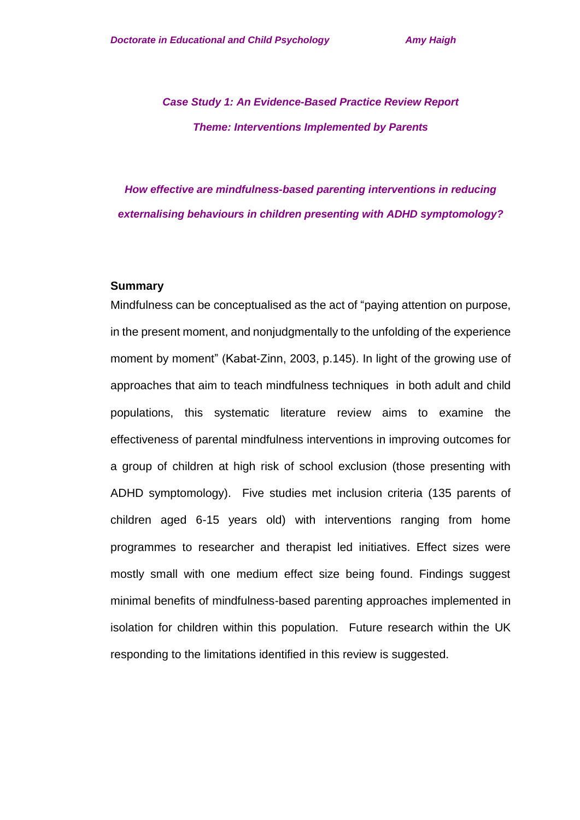# *Case Study 1: An Evidence-Based Practice Review Report Theme: Interventions Implemented by Parents*

# *How effective are mindfulness-based parenting interventions in reducing externalising behaviours in children presenting with ADHD symptomology?*

#### **Summary**

Mindfulness can be conceptualised as the act of "paying attention on purpose, in the present moment, and nonjudgmentally to the unfolding of the experience moment by moment" (Kabat-Zinn, 2003, p.145). In light of the growing use of approaches that aim to teach mindfulness techniques in both adult and child populations, this systematic literature review aims to examine the effectiveness of parental mindfulness interventions in improving outcomes for a group of children at high risk of school exclusion (those presenting with ADHD symptomology). Five studies met inclusion criteria (135 parents of children aged 6-15 years old) with interventions ranging from home programmes to researcher and therapist led initiatives. Effect sizes were mostly small with one medium effect size being found. Findings suggest minimal benefits of mindfulness-based parenting approaches implemented in isolation for children within this population. Future research within the UK responding to the limitations identified in this review is suggested.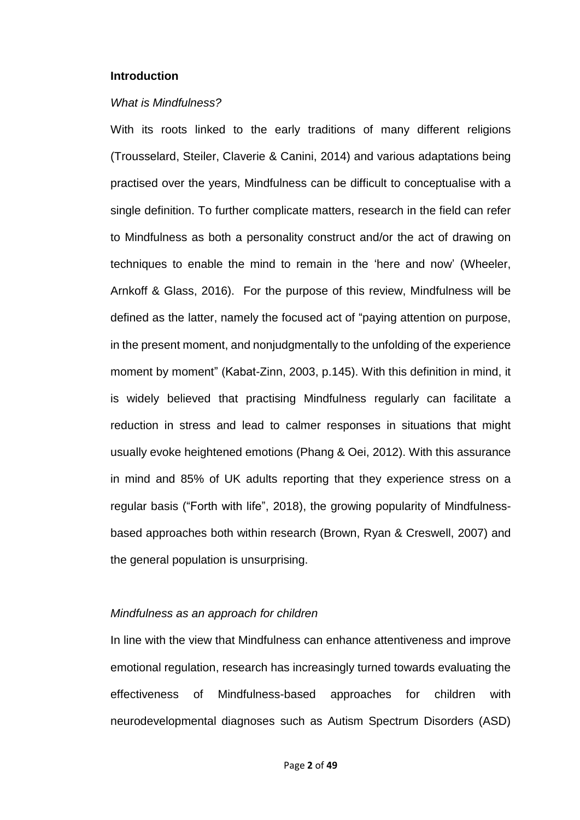#### **Introduction**

#### *What is Mindfulness?*

With its roots linked to the early traditions of many different religions (Trousselard, Steiler, Claverie & Canini, 2014) and various adaptations being practised over the years, Mindfulness can be difficult to conceptualise with a single definition. To further complicate matters, research in the field can refer to Mindfulness as both a personality construct and/or the act of drawing on techniques to enable the mind to remain in the 'here and now' (Wheeler, Arnkoff & Glass, 2016). For the purpose of this review, Mindfulness will be defined as the latter, namely the focused act of "paying attention on purpose, in the present moment, and nonjudgmentally to the unfolding of the experience moment by moment" (Kabat-Zinn, 2003, p.145). With this definition in mind, it is widely believed that practising Mindfulness regularly can facilitate a reduction in stress and lead to calmer responses in situations that might usually evoke heightened emotions (Phang & Oei, 2012). With this assurance in mind and 85% of UK adults reporting that they experience stress on a regular basis ("Forth with life", 2018), the growing popularity of Mindfulnessbased approaches both within research (Brown, Ryan & Creswell, 2007) and the general population is unsurprising.

#### *Mindfulness as an approach for children*

In line with the view that Mindfulness can enhance attentiveness and improve emotional regulation, research has increasingly turned towards evaluating the effectiveness of Mindfulness-based approaches for children with neurodevelopmental diagnoses such as Autism Spectrum Disorders (ASD)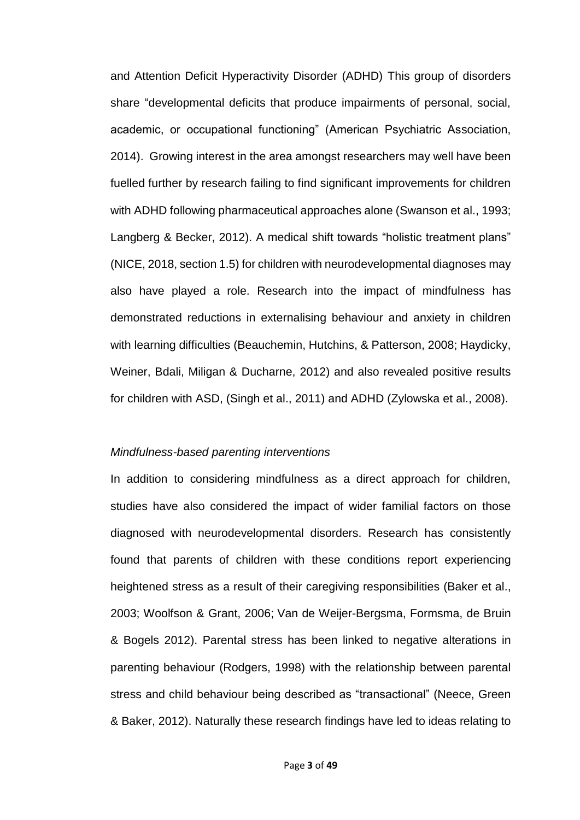and Attention Deficit Hyperactivity Disorder (ADHD) This group of disorders share "developmental deficits that produce impairments of personal, social, academic, or occupational functioning" (American Psychiatric Association, 2014). Growing interest in the area amongst researchers may well have been fuelled further by research failing to find significant improvements for children with ADHD following pharmaceutical approaches alone (Swanson et al., 1993; Langberg & Becker, 2012). A medical shift towards "holistic treatment plans" (NICE, 2018, section 1.5) for children with neurodevelopmental diagnoses may also have played a role. Research into the impact of mindfulness has demonstrated reductions in externalising behaviour and anxiety in children with learning difficulties (Beauchemin, Hutchins, & Patterson, 2008; Haydicky, Weiner, Bdali, Miligan & Ducharne, 2012) and also revealed positive results for children with ASD, (Singh et al., 2011) and ADHD (Zylowska et al., 2008).

#### *Mindfulness-based parenting interventions*

In addition to considering mindfulness as a direct approach for children, studies have also considered the impact of wider familial factors on those diagnosed with neurodevelopmental disorders. Research has consistently found that parents of children with these conditions report experiencing heightened stress as a result of their caregiving responsibilities (Baker et al., 2003; Woolfson & Grant, 2006; [Van de Weijer-Bergsma,](https://www.ncbi.nlm.nih.gov/pubmed/?term=van%20de%20Weijer-Bergsma%20E%5BAuthor%5D&cauthor=true&cauthor_uid=22993482) Formsma, de Bruin & Bogels 2012). Parental stress has been linked to negative alterations in parenting behaviour (Rodgers, 1998) with the relationship between parental stress and child behaviour being described as "transactional" (Neece, Green & Baker, 2012). Naturally these research findings have led to ideas relating to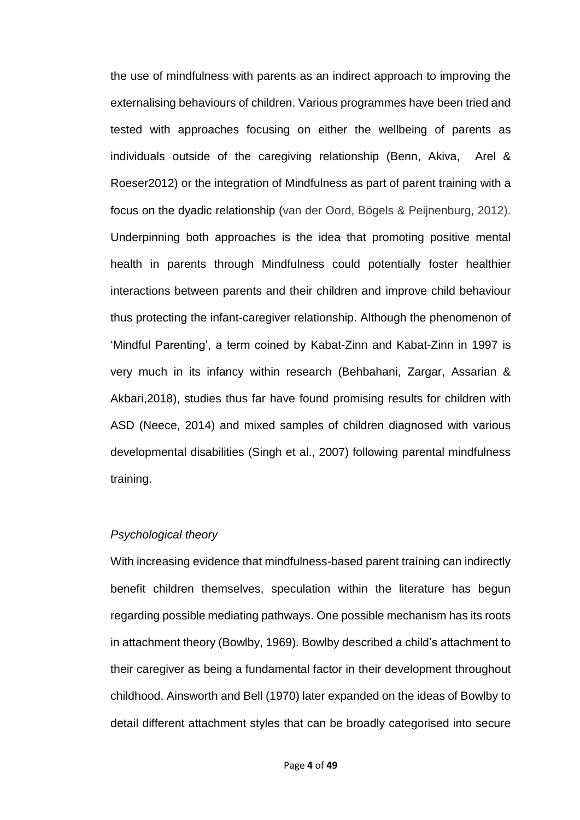the use of mindfulness with parents as an indirect approach to improving the externalising behaviours of children. Various programmes have been tried and tested with approaches focusing on either the wellbeing of parents as individuals outside of the caregiving relationship (Benn, Akiva, Arel & Roeser2012) or the integration of Mindfulness as part of parent training with a focus on the dyadic relationship (van der Oord, Bögels & Peijnenburg, 2012). Underpinning both approaches is the idea that promoting positive mental health in parents through Mindfulness could potentially foster healthier interactions between parents and their children and improve child behaviour thus protecting the infant-caregiver relationship. Although the phenomenon of 'Mindful Parenting', a term coined by Kabat-Zinn and Kabat-Zinn in 1997 is very much in its infancy within research (Behbahani, Zargar, Assarian & Akbari,2018), studies thus far have found promising results for children with ASD (Neece, 2014) and mixed samples of children diagnosed with various developmental disabilities (Singh et al., 2007) following parental mindfulness training.

#### *Psychological theory*

With increasing evidence that mindfulness-based parent training can indirectly benefit children themselves, speculation within the literature has begun regarding possible mediating pathways. One possible mechanism has its roots in attachment theory (Bowlby, 1969). Bowlby described a child's attachment to their caregiver as being a fundamental factor in their development throughout childhood. Ainsworth and Bell (1970) later expanded on the ideas of Bowlby to detail different attachment styles that can be broadly categorised into secure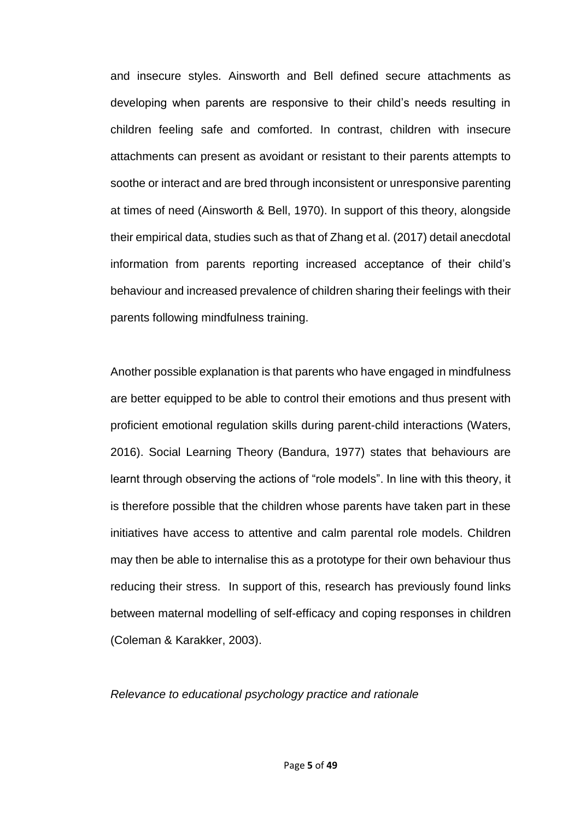and insecure styles. Ainsworth and Bell defined secure attachments as developing when parents are responsive to their child's needs resulting in children feeling safe and comforted. In contrast, children with insecure attachments can present as avoidant or resistant to their parents attempts to soothe or interact and are bred through inconsistent or unresponsive parenting at times of need (Ainsworth & Bell, 1970). In support of this theory, alongside their empirical data, studies such as that of Zhang et al. (2017) detail anecdotal information from parents reporting increased acceptance of their child's behaviour and increased prevalence of children sharing their feelings with their parents following mindfulness training.

Another possible explanation is that parents who have engaged in mindfulness are better equipped to be able to control their emotions and thus present with proficient emotional regulation skills during parent-child interactions (Waters, 2016). Social Learning Theory (Bandura, 1977) states that behaviours are learnt through observing the actions of "role models". In line with this theory, it is therefore possible that the children whose parents have taken part in these initiatives have access to attentive and calm parental role models. Children may then be able to internalise this as a prototype for their own behaviour thus reducing their stress. In support of this, research has previously found links between maternal modelling of self-efficacy and coping responses in children (Coleman & Karakker, 2003).

*Relevance to educational psychology practice and rationale*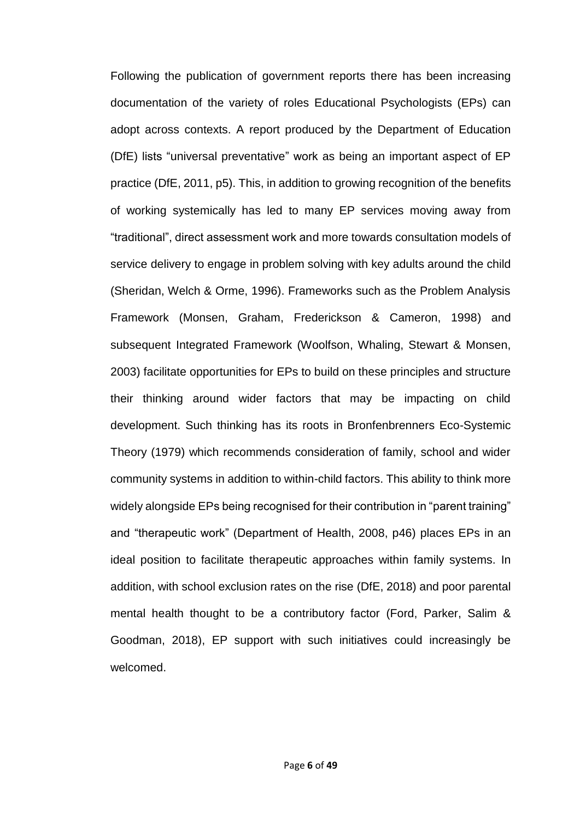Following the publication of government reports there has been increasing documentation of the variety of roles Educational Psychologists (EPs) can adopt across contexts. A report produced by the Department of Education (DfE) lists "universal preventative" work as being an important aspect of EP practice (DfE, 2011, p5). This, in addition to growing recognition of the benefits of working systemically has led to many EP services moving away from "traditional", direct assessment work and more towards consultation models of service delivery to engage in problem solving with key adults around the child (Sheridan, Welch & Orme, 1996). Frameworks such as the Problem Analysis Framework (Monsen, Graham, Frederickson & Cameron, 1998) and subsequent Integrated Framework (Woolfson, Whaling, Stewart & Monsen, 2003) facilitate opportunities for EPs to build on these principles and structure their thinking around wider factors that may be impacting on child development. Such thinking has its roots in Bronfenbrenners Eco-Systemic Theory (1979) which recommends consideration of family, school and wider community systems in addition to within-child factors. This ability to think more widely alongside EPs being recognised for their contribution in "parent training" and "therapeutic work" (Department of Health, 2008, p46) places EPs in an ideal position to facilitate therapeutic approaches within family systems. In addition, with school exclusion rates on the rise (DfE, 2018) and poor parental mental health thought to be a contributory factor (Ford, Parker, Salim & Goodman, 2018), EP support with such initiatives could increasingly be welcomed.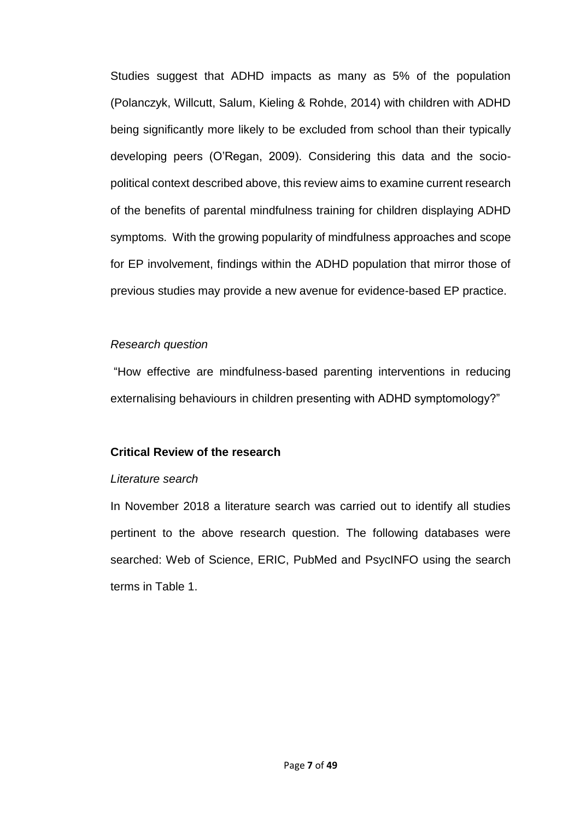Studies suggest that ADHD impacts as many as 5% of the population (Polanczyk, Willcutt, Salum, Kieling & Rohde, 2014) with children with ADHD being significantly more likely to be excluded from school than their typically developing peers (O'Regan, 2009). Considering this data and the sociopolitical context described above, this review aims to examine current research of the benefits of parental mindfulness training for children displaying ADHD symptoms. With the growing popularity of mindfulness approaches and scope for EP involvement, findings within the ADHD population that mirror those of previous studies may provide a new avenue for evidence-based EP practice.

#### *Research question*

"How effective are mindfulness-based parenting interventions in reducing externalising behaviours in children presenting with ADHD symptomology?"

### **Critical Review of the research**

#### *Literature search*

In November 2018 a literature search was carried out to identify all studies pertinent to the above research question. The following databases were searched: Web of Science, ERIC, PubMed and PsycINFO using the search terms in Table 1.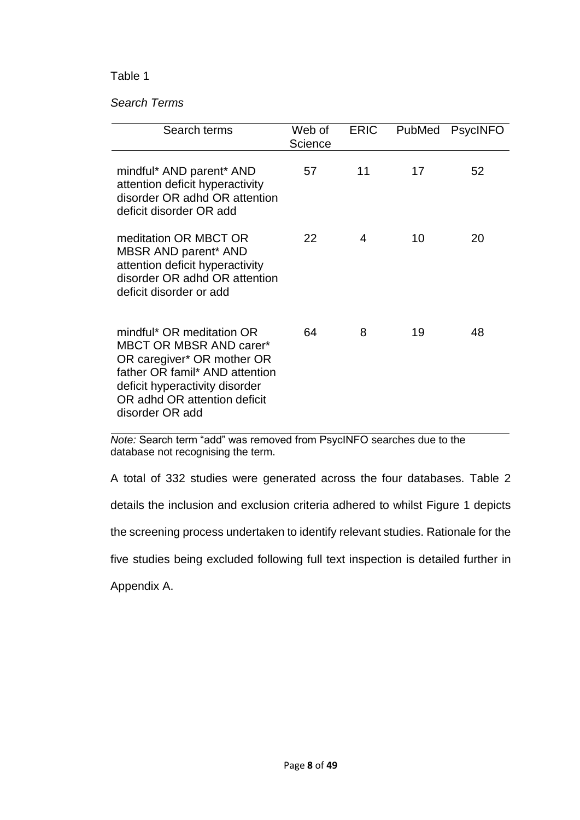### Table 1

### *Search Terms*

| Search terms                                                                                                                                                                                                     | Web of<br>Science | <b>ERIC</b> | PubMed | <b>PsycINFO</b> |
|------------------------------------------------------------------------------------------------------------------------------------------------------------------------------------------------------------------|-------------------|-------------|--------|-----------------|
| mindful* AND parent* AND<br>attention deficit hyperactivity<br>disorder OR adhd OR attention<br>deficit disorder OR add                                                                                          | 57                | 11          | 17     | 52              |
| meditation OR MBCT OR<br>MBSR AND parent* AND<br>attention deficit hyperactivity<br>disorder OR adhd OR attention<br>deficit disorder or add                                                                     | 22                | 4           | 10     | 20              |
| mindful* OR meditation OR<br><b>MBCT OR MBSR AND carer*</b><br>OR caregiver* OR mother OR<br>father OR famil* AND attention<br>deficit hyperactivity disorder<br>OR adhd OR attention deficit<br>disorder OR add | 64                | 8           | 19     | 48              |

*Note:* Search term "add" was removed from PsycINFO searches due to the database not recognising the term.

A total of 332 studies were generated across the four databases. Table 2

details the inclusion and exclusion criteria adhered to whilst Figure 1 depicts

the screening process undertaken to identify relevant studies. Rationale for the

five studies being excluded following full text inspection is detailed further in

Appendix A.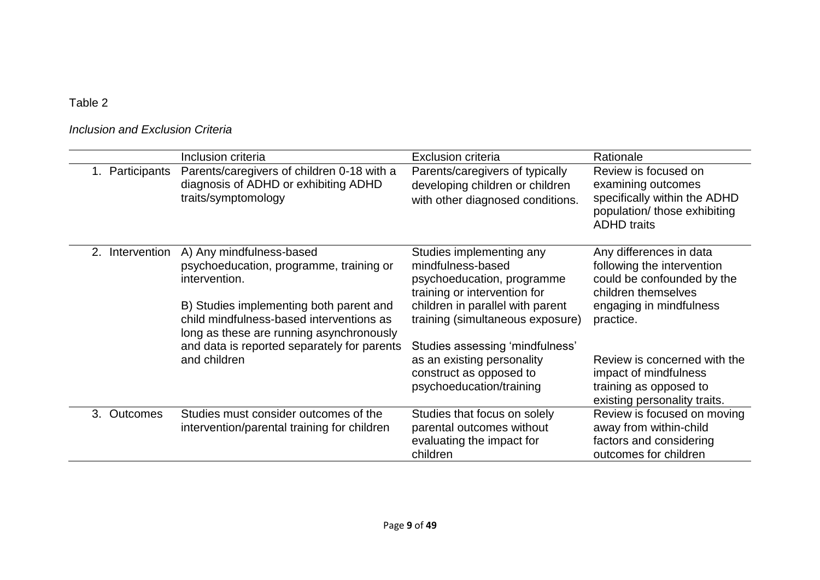Table 2

# *Inclusion and Exclusion Criteria*

|                            | Inclusion criteria                                                                                                              | <b>Exclusion criteria</b>                                                                                   | Rationale                                                                                                                        |
|----------------------------|---------------------------------------------------------------------------------------------------------------------------------|-------------------------------------------------------------------------------------------------------------|----------------------------------------------------------------------------------------------------------------------------------|
| 1. Participants            | Parents/caregivers of children 0-18 with a<br>diagnosis of ADHD or exhibiting ADHD<br>traits/symptomology                       | Parents/caregivers of typically<br>developing children or children<br>with other diagnosed conditions.      | Review is focused on<br>examining outcomes<br>specifically within the ADHD<br>population/ those exhibiting<br><b>ADHD</b> traits |
| Intervention<br>2.         | A) Any mindfulness-based<br>psychoeducation, programme, training or<br>intervention.                                            | Studies implementing any<br>mindfulness-based<br>psychoeducation, programme<br>training or intervention for | Any differences in data<br>following the intervention<br>could be confounded by the<br>children themselves                       |
|                            | B) Studies implementing both parent and<br>child mindfulness-based interventions as<br>long as these are running asynchronously | children in parallel with parent<br>training (simultaneous exposure)                                        | engaging in mindfulness<br>practice.                                                                                             |
|                            | and data is reported separately for parents                                                                                     | Studies assessing 'mindfulness'                                                                             |                                                                                                                                  |
|                            | and children                                                                                                                    | as an existing personality                                                                                  | Review is concerned with the                                                                                                     |
|                            |                                                                                                                                 | construct as opposed to                                                                                     | impact of mindfulness                                                                                                            |
|                            |                                                                                                                                 | psychoeducation/training                                                                                    | training as opposed to<br>existing personality traits.                                                                           |
| <b>Outcomes</b><br>$3_{-}$ | Studies must consider outcomes of the                                                                                           | Studies that focus on solely                                                                                | Review is focused on moving                                                                                                      |
|                            | intervention/parental training for children                                                                                     | parental outcomes without                                                                                   | away from within-child                                                                                                           |
|                            |                                                                                                                                 | evaluating the impact for<br>children                                                                       | factors and considering<br>outcomes for children                                                                                 |
|                            |                                                                                                                                 |                                                                                                             |                                                                                                                                  |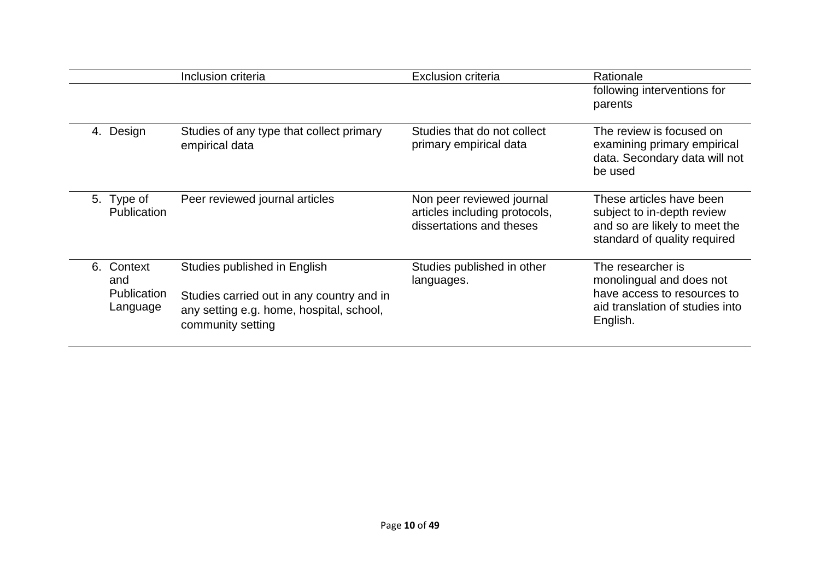|                                                 | Inclusion criteria                                                                                                                         | <b>Exclusion criteria</b>                                                              | Rationale                                                                                                                   |
|-------------------------------------------------|--------------------------------------------------------------------------------------------------------------------------------------------|----------------------------------------------------------------------------------------|-----------------------------------------------------------------------------------------------------------------------------|
|                                                 |                                                                                                                                            |                                                                                        | following interventions for<br>parents                                                                                      |
| Design<br>4.                                    | Studies of any type that collect primary<br>empirical data                                                                                 | Studies that do not collect<br>primary empirical data                                  | The review is focused on<br>examining primary empirical<br>data. Secondary data will not<br>be used                         |
| 5. Type of<br>Publication                       | Peer reviewed journal articles                                                                                                             | Non peer reviewed journal<br>articles including protocols,<br>dissertations and theses | These articles have been<br>subject to in-depth review<br>and so are likely to meet the<br>standard of quality required     |
| Context<br>6.<br>and<br>Publication<br>Language | Studies published in English<br>Studies carried out in any country and in<br>any setting e.g. home, hospital, school,<br>community setting | Studies published in other<br>languages.                                               | The researcher is<br>monolingual and does not<br>have access to resources to<br>aid translation of studies into<br>English. |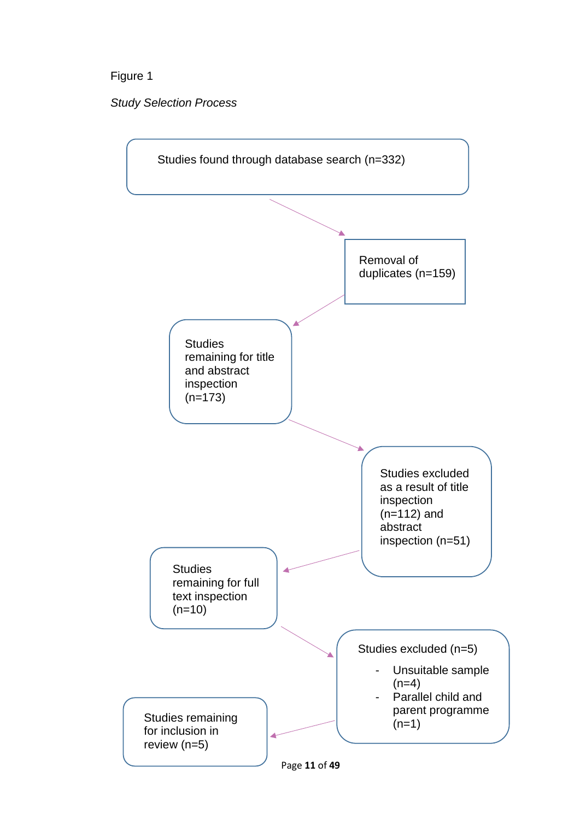# Figure 1

*Study Selection Process* 

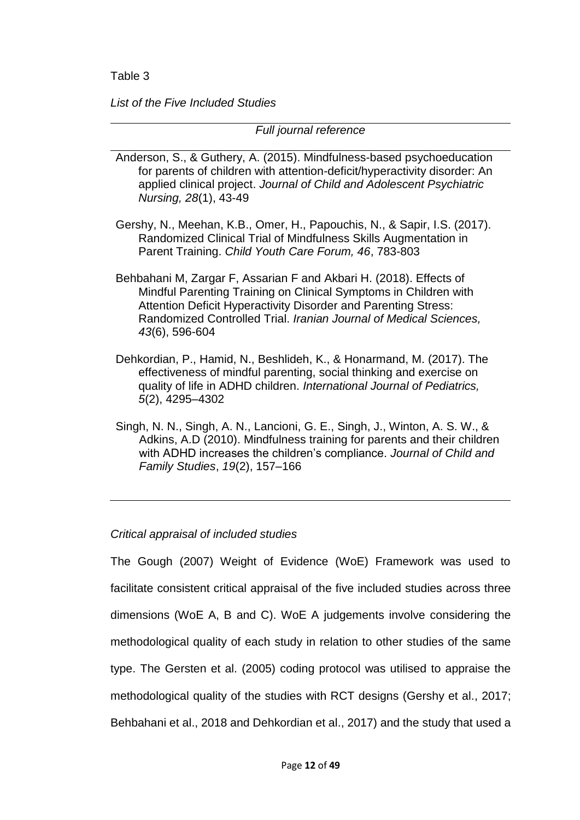*List of the Five Included Studies*

*Full journal reference*

- Anderson, S., & Guthery, A. (2015). Mindfulness-based psychoeducation for parents of children with attention-deficit/hyperactivity disorder: An applied clinical project. *Journal of Child and Adolescent Psychiatric Nursing, 28*(1), 43-49
- Gershy, N., Meehan, K.B., Omer, H., Papouchis, N., & Sapir, I.S. (2017). Randomized Clinical Trial of Mindfulness Skills Augmentation in Parent Training. *Child Youth Care Forum, 46*, 783-803
- Behbahani M, Zargar F, Assarian F and Akbari H. (2018). Effects of Mindful Parenting Training on Clinical Symptoms in Children with Attention Deficit Hyperactivity Disorder and Parenting Stress: Randomized Controlled Trial. *Iranian Journal of Medical Sciences, 43*(6), 596-604
- Dehkordian, P., Hamid, N., Beshlideh, K., & Honarmand, M. (2017). The effectiveness of mindful parenting, social thinking and exercise on quality of life in ADHD children. *International Journal of Pediatrics, 5*(2), 4295–4302
- Singh, N. N., Singh, A. N., Lancioni, G. E., Singh, J., Winton, A. S. W., & Adkins, A.D (2010). Mindfulness training for parents and their children with ADHD increases the children's compliance. *Journal of Child and Family Studies*, *19*(2), 157–166

### *Critical appraisal of included studies*

The Gough (2007) Weight of Evidence (WoE) Framework was used to facilitate consistent critical appraisal of the five included studies across three dimensions (WoE A, B and C). WoE A judgements involve considering the methodological quality of each study in relation to other studies of the same type. The Gersten et al. (2005) coding protocol was utilised to appraise the methodological quality of the studies with RCT designs (Gershy et al., 2017; Behbahani et al., 2018 and Dehkordian et al., 2017) and the study that used a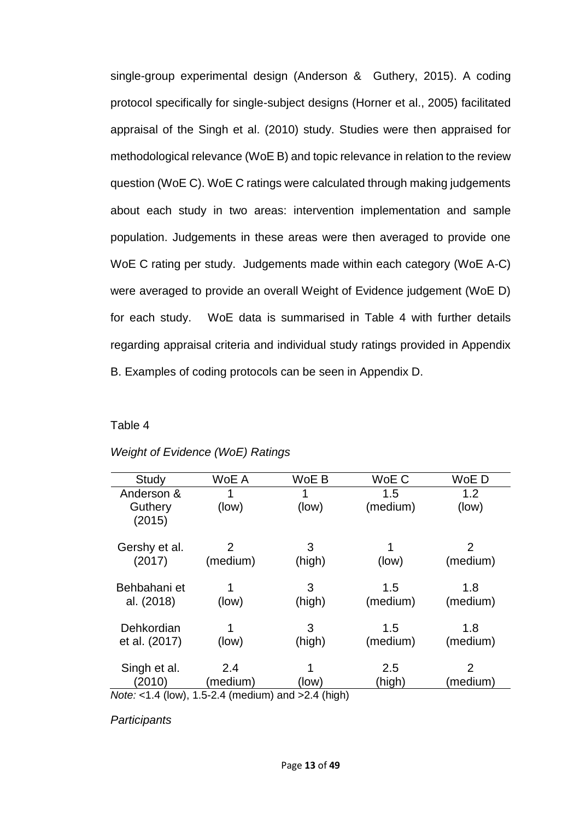single-group experimental design (Anderson & Guthery, 2015). A coding protocol specifically for single-subject designs (Horner et al., 2005) facilitated appraisal of the Singh et al. (2010) study. Studies were then appraised for methodological relevance (WoE B) and topic relevance in relation to the review question (WoE C). WoE C ratings were calculated through making judgements about each study in two areas: intervention implementation and sample population. Judgements in these areas were then averaged to provide one WoE C rating per study. Judgements made within each category (WoE A-C) were averaged to provide an overall Weight of Evidence judgement (WoE D) for each study. WoE data is summarised in Table 4 with further details regarding appraisal criteria and individual study ratings provided in Appendix B. Examples of coding protocols can be seen in Appendix D.

#### Table 4

| Study                                                       | WoE A    | WoE B  | WoE C    | WoE D         |  |
|-------------------------------------------------------------|----------|--------|----------|---------------|--|
| Anderson &                                                  | 1        | 1      | 1.5      | 1.2           |  |
| Guthery                                                     | (low)    | (low)  | (medium) | (low)         |  |
| (2015)                                                      |          |        |          |               |  |
|                                                             |          |        |          |               |  |
| Gershy et al.                                               | 2        | 3      |          | 2             |  |
| (2017)                                                      | (medium) | (high) | (low)    | (medium)      |  |
|                                                             |          |        |          |               |  |
| Behbahani et                                                | 1        | 3      | 1.5      | 1.8           |  |
| al. (2018)                                                  | (low)    | (high) | (medium) | (medium)      |  |
|                                                             |          |        |          |               |  |
| Dehkordian                                                  |          | 3      | 1.5      | 1.8           |  |
| et al. (2017)                                               | (low)    | (high) | (medium) | (medium)      |  |
|                                                             |          |        |          |               |  |
| Singh et al.                                                | 2.4      |        | 2.5      | $\mathcal{P}$ |  |
| (2010)                                                      | (medium) | (low)  | (high)   | (medium)      |  |
| <i>Note:</i> <1.4 (low), 1.5-2.4 (medium) and $>2.4$ (high) |          |        |          |               |  |

#### *Weight of Evidence (WoE) Ratings*

*Participants*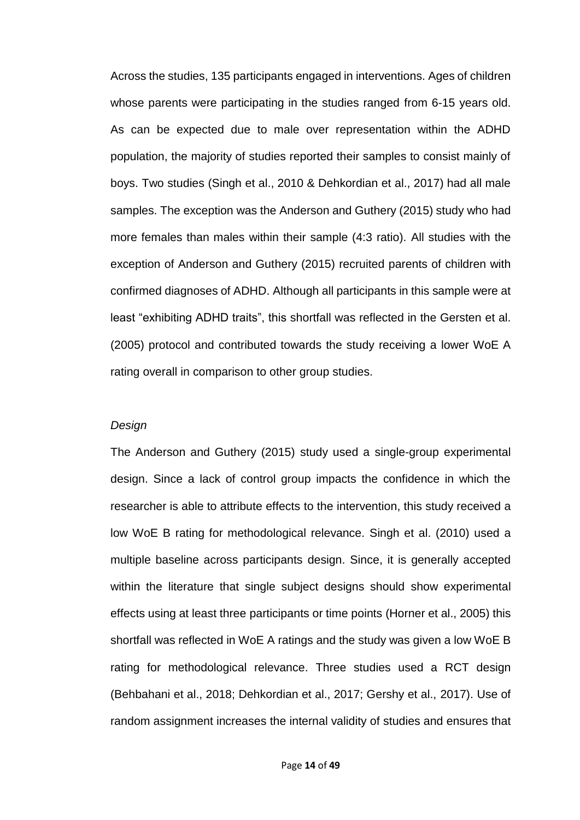Across the studies, 135 participants engaged in interventions. Ages of children whose parents were participating in the studies ranged from 6-15 years old. As can be expected due to male over representation within the ADHD population, the majority of studies reported their samples to consist mainly of boys. Two studies (Singh et al., 2010 & Dehkordian et al., 2017) had all male samples. The exception was the Anderson and Guthery (2015) study who had more females than males within their sample (4:3 ratio). All studies with the exception of Anderson and Guthery (2015) recruited parents of children with confirmed diagnoses of ADHD. Although all participants in this sample were at least "exhibiting ADHD traits", this shortfall was reflected in the Gersten et al. (2005) protocol and contributed towards the study receiving a lower WoE A rating overall in comparison to other group studies.

#### *Design*

The Anderson and Guthery (2015) study used a single-group experimental design. Since a lack of control group impacts the confidence in which the researcher is able to attribute effects to the intervention, this study received a low WoE B rating for methodological relevance. Singh et al. (2010) used a multiple baseline across participants design. Since, it is generally accepted within the literature that single subject designs should show experimental effects using at least three participants or time points (Horner et al., 2005) this shortfall was reflected in WoE A ratings and the study was given a low WoE B rating for methodological relevance. Three studies used a RCT design (Behbahani et al., 2018; Dehkordian et al., 2017; Gershy et al., 2017). Use of random assignment increases the internal validity of studies and ensures that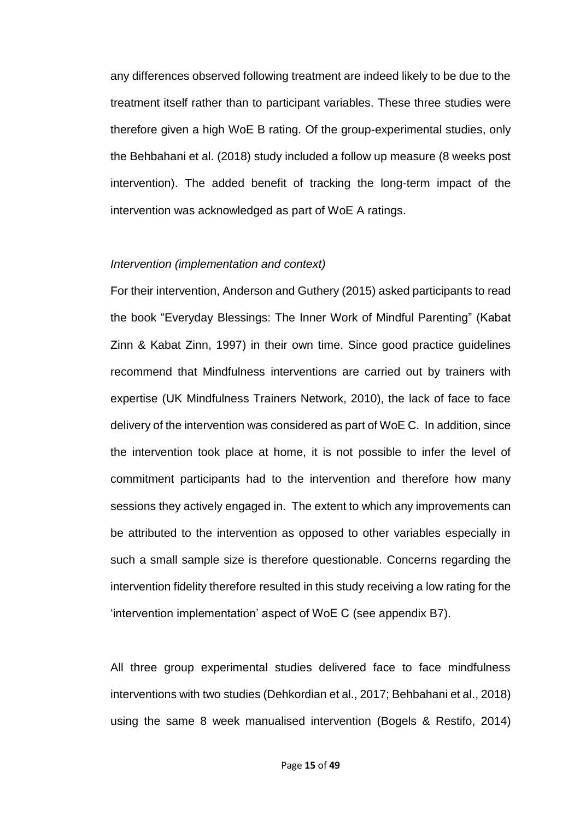any differences observed following treatment are indeed likely to be due to the treatment itself rather than to participant variables. These three studies were therefore given a high WoE B rating. Of the group-experimental studies, only the Behbahani et al. (2018) study included a follow up measure (8 weeks post intervention). The added benefit of tracking the long-term impact of the intervention was acknowledged as part of WoE A ratings.

#### *Intervention (implementation and context)*

For their intervention, Anderson and Guthery (2015) asked participants to read the book "Everyday Blessings: The Inner Work of Mindful Parenting" (Kabat Zinn & Kabat Zinn, 1997) in their own time. Since good practice guidelines recommend that Mindfulness interventions are carried out by trainers with expertise (UK Mindfulness Trainers Network, 2010), the lack of face to face delivery of the intervention was considered as part of WoE C. In addition, since the intervention took place at home, it is not possible to infer the level of commitment participants had to the intervention and therefore how many sessions they actively engaged in. The extent to which any improvements can be attributed to the intervention as opposed to other variables especially in such a small sample size is therefore questionable. Concerns regarding the intervention fidelity therefore resulted in this study receiving a low rating for the 'intervention implementation' aspect of WoE C (see appendix B7).

All three group experimental studies delivered face to face mindfulness interventions with two studies (Dehkordian et al., 2017; Behbahani et al., 2018) using the same 8 week manualised intervention (Bogels & Restifo, 2014)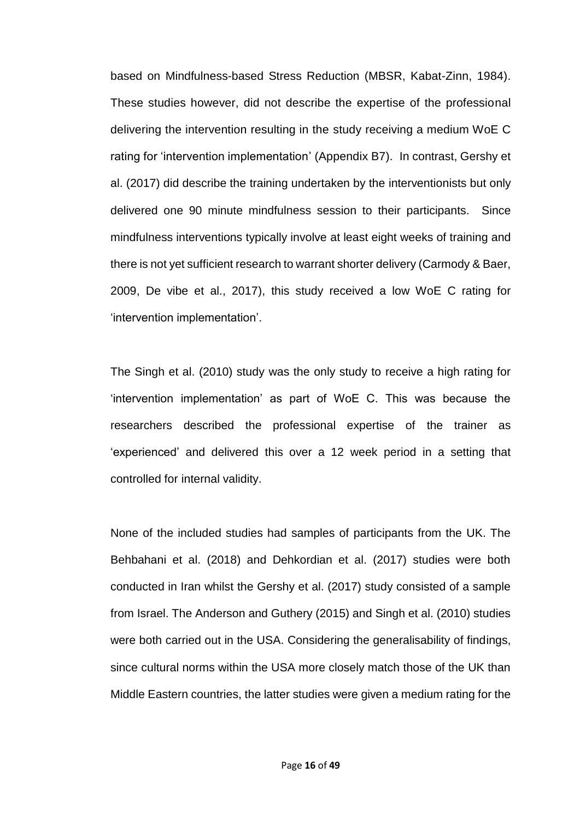based on Mindfulness-based Stress Reduction (MBSR, Kabat-Zinn, 1984). These studies however, did not describe the expertise of the professional delivering the intervention resulting in the study receiving a medium WoE C rating for 'intervention implementation' (Appendix B7). In contrast, Gershy et al. (2017) did describe the training undertaken by the interventionists but only delivered one 90 minute mindfulness session to their participants. Since mindfulness interventions typically involve at least eight weeks of training and there is not yet sufficient research to warrant shorter delivery (Carmody & Baer, 2009, De vibe et al., 2017), this study received a low WoE C rating for 'intervention implementation'.

The Singh et al. (2010) study was the only study to receive a high rating for 'intervention implementation' as part of WoE C. This was because the researchers described the professional expertise of the trainer as 'experienced' and delivered this over a 12 week period in a setting that controlled for internal validity.

None of the included studies had samples of participants from the UK. The Behbahani et al. (2018) and Dehkordian et al. (2017) studies were both conducted in Iran whilst the Gershy et al. (2017) study consisted of a sample from Israel. The Anderson and Guthery (2015) and Singh et al. (2010) studies were both carried out in the USA. Considering the generalisability of findings, since cultural norms within the USA more closely match those of the UK than Middle Eastern countries, the latter studies were given a medium rating for the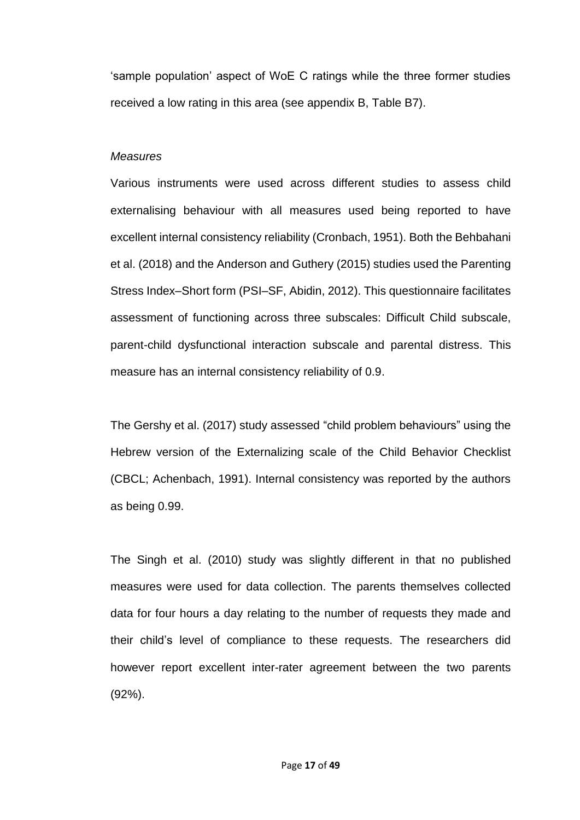'sample population' aspect of WoE C ratings while the three former studies received a low rating in this area (see appendix B, Table B7).

#### *Measures*

Various instruments were used across different studies to assess child externalising behaviour with all measures used being reported to have excellent internal consistency reliability (Cronbach, 1951). Both the Behbahani et al. (2018) and the Anderson and Guthery (2015) studies used the Parenting Stress Index–Short form (PSI–SF, Abidin, 2012). This questionnaire facilitates assessment of functioning across three subscales: Difficult Child subscale, parent-child dysfunctional interaction subscale and parental distress. This measure has an internal consistency reliability of 0.9.

The Gershy et al. (2017) study assessed "child problem behaviours" using the Hebrew version of the Externalizing scale of the Child Behavior Checklist (CBCL; Achenbach, 1991). Internal consistency was reported by the authors as being 0.99.

The Singh et al. (2010) study was slightly different in that no published measures were used for data collection. The parents themselves collected data for four hours a day relating to the number of requests they made and their child's level of compliance to these requests. The researchers did however report excellent inter-rater agreement between the two parents (92%).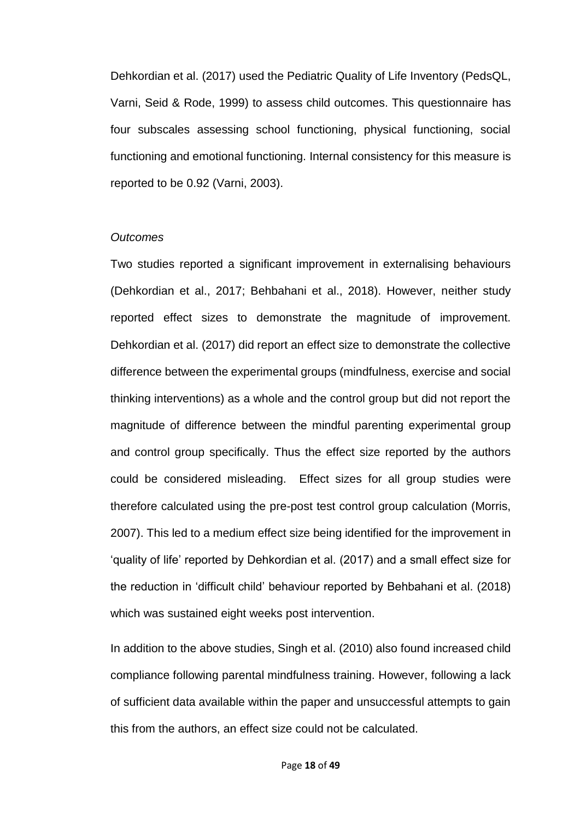Dehkordian et al. (2017) used the Pediatric Quality of Life Inventory (PedsQL, Varni, Seid & Rode, 1999) to assess child outcomes. This questionnaire has four subscales assessing school functioning, physical functioning, social functioning and emotional functioning. Internal consistency for this measure is reported to be 0.92 (Varni, 2003).

#### *Outcomes*

Two studies reported a significant improvement in externalising behaviours (Dehkordian et al., 2017; Behbahani et al., 2018). However, neither study reported effect sizes to demonstrate the magnitude of improvement. Dehkordian et al. (2017) did report an effect size to demonstrate the collective difference between the experimental groups (mindfulness, exercise and social thinking interventions) as a whole and the control group but did not report the magnitude of difference between the mindful parenting experimental group and control group specifically. Thus the effect size reported by the authors could be considered misleading. Effect sizes for all group studies were therefore calculated using the pre-post test control group calculation (Morris, 2007). This led to a medium effect size being identified for the improvement in 'quality of life' reported by Dehkordian et al. (2017) and a small effect size for the reduction in 'difficult child' behaviour reported by Behbahani et al. (2018) which was sustained eight weeks post intervention.

In addition to the above studies, Singh et al. (2010) also found increased child compliance following parental mindfulness training. However, following a lack of sufficient data available within the paper and unsuccessful attempts to gain this from the authors, an effect size could not be calculated.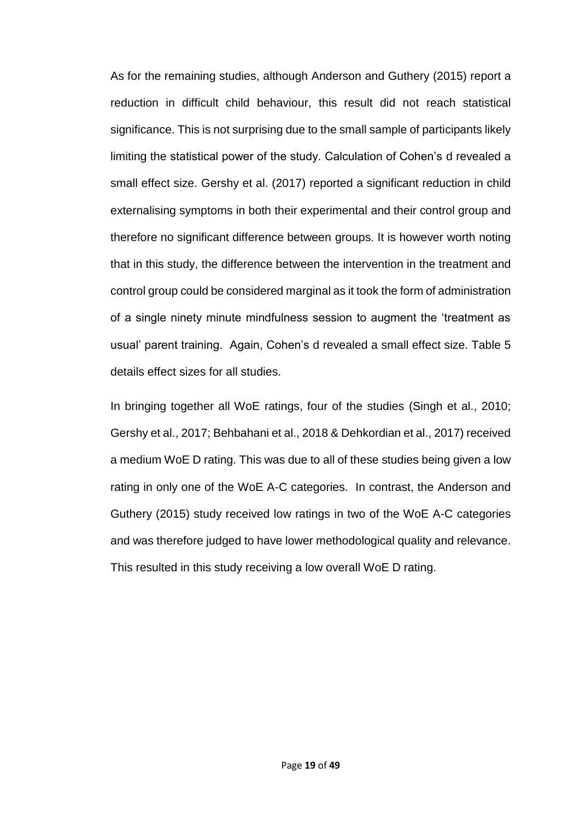As for the remaining studies, although Anderson and Guthery (2015) report a reduction in difficult child behaviour, this result did not reach statistical significance. This is not surprising due to the small sample of participants likely limiting the statistical power of the study. Calculation of Cohen's d revealed a small effect size. Gershy et al. (2017) reported a significant reduction in child externalising symptoms in both their experimental and their control group and therefore no significant difference between groups. It is however worth noting that in this study, the difference between the intervention in the treatment and control group could be considered marginal as it took the form of administration of a single ninety minute mindfulness session to augment the 'treatment as usual' parent training. Again, Cohen's d revealed a small effect size. Table 5 details effect sizes for all studies.

In bringing together all WoE ratings, four of the studies (Singh et al., 2010; Gershy et al., 2017; Behbahani et al., 2018 & Dehkordian et al., 2017) received a medium WoE D rating. This was due to all of these studies being given a low rating in only one of the WoE A-C categories. In contrast, the Anderson and Guthery (2015) study received low ratings in two of the WoE A-C categories and was therefore judged to have lower methodological quality and relevance. This resulted in this study receiving a low overall WoE D rating.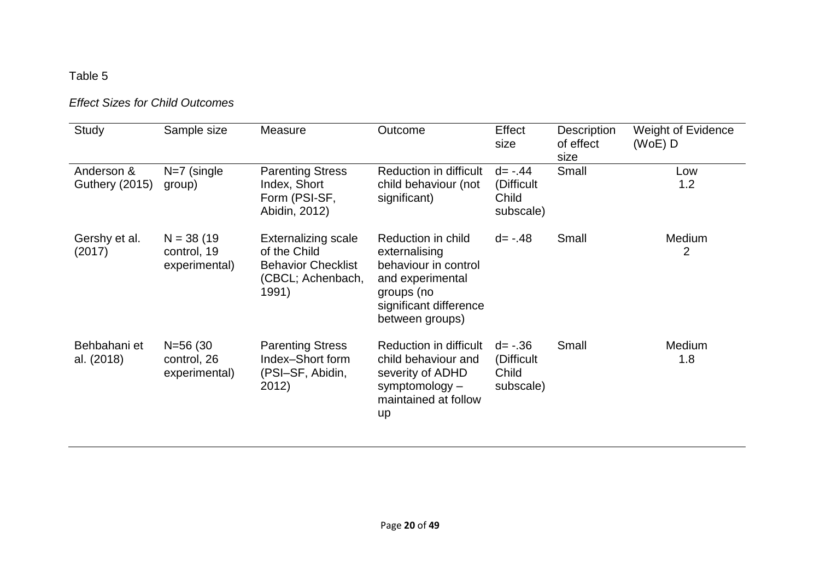# Table 5

# *Effect Sizes for Child Outcomes*

| Study                               | Sample size                                  | Measure                                                                                               | Outcome                                                                                                                                    | Effect<br>size                                  | Description<br>of effect<br>size | <b>Weight of Evidence</b><br>(WoE) D |
|-------------------------------------|----------------------------------------------|-------------------------------------------------------------------------------------------------------|--------------------------------------------------------------------------------------------------------------------------------------------|-------------------------------------------------|----------------------------------|--------------------------------------|
| Anderson &<br><b>Guthery (2015)</b> | $N=7$ (single<br>group)                      | <b>Parenting Stress</b><br>Index, Short<br>Form (PSI-SF,<br>Abidin, 2012)                             | Reduction in difficult<br>child behaviour (not<br>significant)                                                                             | $d = -.44$<br>(Difficult<br>Child<br>subscale)  | Small                            | Low<br>1.2                           |
| Gershy et al.<br>(2017)             | $N = 38(19)$<br>control, 19<br>experimental) | <b>Externalizing scale</b><br>of the Child<br><b>Behavior Checklist</b><br>(CBCL; Achenbach,<br>1991) | Reduction in child<br>externalising<br>behaviour in control<br>and experimental<br>groups (no<br>significant difference<br>between groups) | $d = -.48$                                      | Small                            | Medium<br>2                          |
| Behbahani et<br>al. (2018)          | $N = 56(30)$<br>control, 26<br>experimental) | <b>Parenting Stress</b><br>Index-Short form<br>(PSI-SF, Abidin,<br>2012)                              | Reduction in difficult<br>child behaviour and<br>severity of ADHD<br>symptomology -<br>maintained at follow<br>up                          | $d = -0.36$<br>(Difficult<br>Child<br>subscale) | Small                            | <b>Medium</b><br>1.8                 |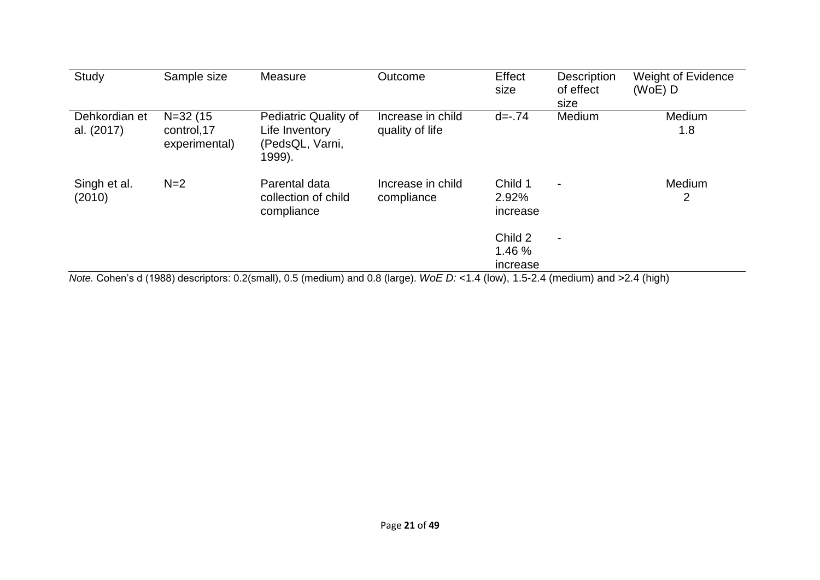| Study                       | Sample size                                  | Measure                                                                                                                           | Outcome                              | Effect<br>size                | <b>Description</b><br>of effect<br>size | <b>Weight of Evidence</b><br>$(WoE)$ D |
|-----------------------------|----------------------------------------------|-----------------------------------------------------------------------------------------------------------------------------------|--------------------------------------|-------------------------------|-----------------------------------------|----------------------------------------|
| Dehkordian et<br>al. (2017) | $N = 32(15)$<br>control, 17<br>experimental) | Pediatric Quality of<br>Life Inventory<br>(PedsQL, Varni,<br>1999).                                                               | Increase in child<br>quality of life | $d = -0.74$                   | Medium                                  | Medium<br>1.8                          |
| Singh et al.<br>(2010)      | $N=2$                                        | Parental data<br>collection of child<br>compliance                                                                                | Increase in child<br>compliance      | Child 1<br>2.92%<br>increase  |                                         | <b>Medium</b><br>$\overline{2}$        |
|                             |                                              | Note. Cohen's d (1988) descriptors: 0.2(small), 0.5 (medium) and 0.8 (large). WoE D: <1.4 (low), 1.5-2.4 (medium) and >2.4 (high) |                                      | Child 2<br>1.46 %<br>increase | $\blacksquare$                          |                                        |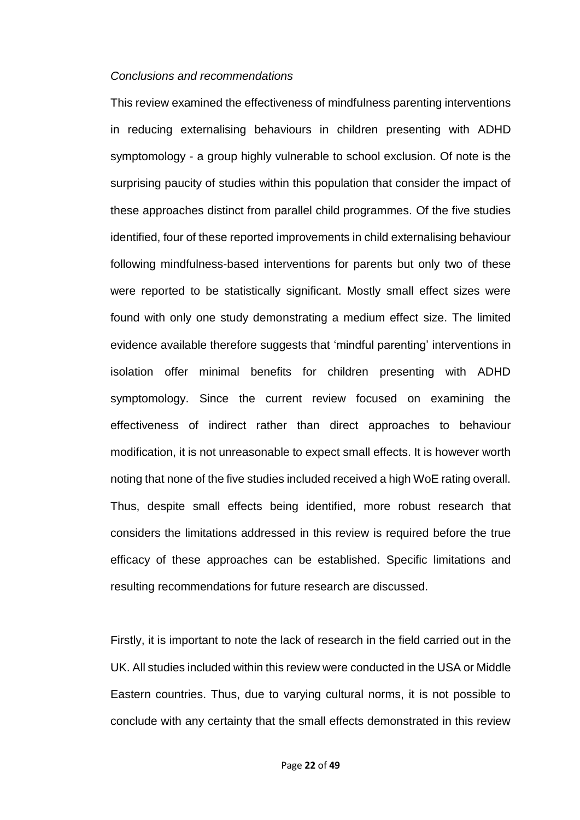#### *Conclusions and recommendations*

This review examined the effectiveness of mindfulness parenting interventions in reducing externalising behaviours in children presenting with ADHD symptomology - a group highly vulnerable to school exclusion. Of note is the surprising paucity of studies within this population that consider the impact of these approaches distinct from parallel child programmes. Of the five studies identified, four of these reported improvements in child externalising behaviour following mindfulness-based interventions for parents but only two of these were reported to be statistically significant. Mostly small effect sizes were found with only one study demonstrating a medium effect size. The limited evidence available therefore suggests that 'mindful parenting' interventions in isolation offer minimal benefits for children presenting with ADHD symptomology. Since the current review focused on examining the effectiveness of indirect rather than direct approaches to behaviour modification, it is not unreasonable to expect small effects. It is however worth noting that none of the five studies included received a high WoE rating overall. Thus, despite small effects being identified, more robust research that considers the limitations addressed in this review is required before the true efficacy of these approaches can be established. Specific limitations and resulting recommendations for future research are discussed.

Firstly, it is important to note the lack of research in the field carried out in the UK. All studies included within this review were conducted in the USA or Middle Eastern countries. Thus, due to varying cultural norms, it is not possible to conclude with any certainty that the small effects demonstrated in this review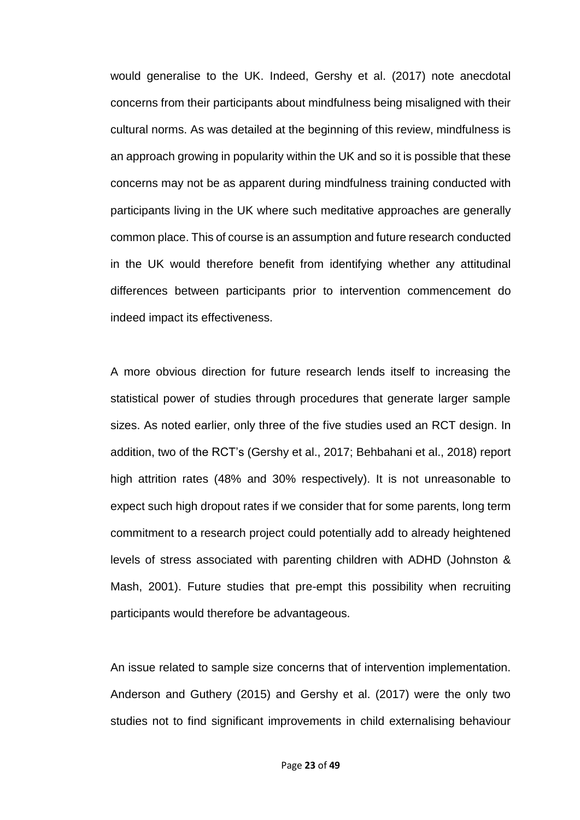would generalise to the UK. Indeed, Gershy et al. (2017) note anecdotal concerns from their participants about mindfulness being misaligned with their cultural norms. As was detailed at the beginning of this review, mindfulness is an approach growing in popularity within the UK and so it is possible that these concerns may not be as apparent during mindfulness training conducted with participants living in the UK where such meditative approaches are generally common place. This of course is an assumption and future research conducted in the UK would therefore benefit from identifying whether any attitudinal differences between participants prior to intervention commencement do indeed impact its effectiveness.

A more obvious direction for future research lends itself to increasing the statistical power of studies through procedures that generate larger sample sizes. As noted earlier, only three of the five studies used an RCT design. In addition, two of the RCT's (Gershy et al., 2017; Behbahani et al., 2018) report high attrition rates (48% and 30% respectively). It is not unreasonable to expect such high dropout rates if we consider that for some parents, long term commitment to a research project could potentially add to already heightened levels of stress associated with parenting children with ADHD (Johnston & Mash, 2001). Future studies that pre-empt this possibility when recruiting participants would therefore be advantageous.

An issue related to sample size concerns that of intervention implementation. Anderson and Guthery (2015) and Gershy et al. (2017) were the only two studies not to find significant improvements in child externalising behaviour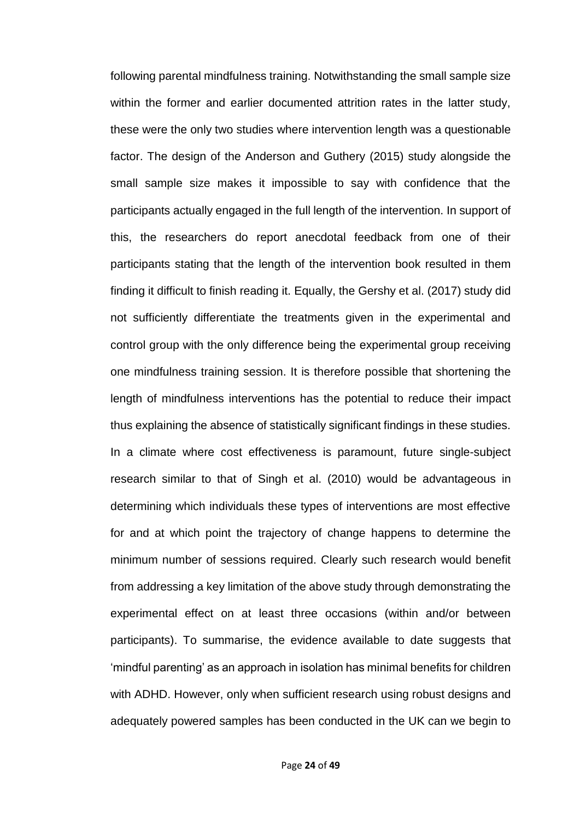following parental mindfulness training. Notwithstanding the small sample size within the former and earlier documented attrition rates in the latter study, these were the only two studies where intervention length was a questionable factor. The design of the Anderson and Guthery (2015) study alongside the small sample size makes it impossible to say with confidence that the participants actually engaged in the full length of the intervention. In support of this, the researchers do report anecdotal feedback from one of their participants stating that the length of the intervention book resulted in them finding it difficult to finish reading it. Equally, the Gershy et al. (2017) study did not sufficiently differentiate the treatments given in the experimental and control group with the only difference being the experimental group receiving one mindfulness training session. It is therefore possible that shortening the length of mindfulness interventions has the potential to reduce their impact thus explaining the absence of statistically significant findings in these studies. In a climate where cost effectiveness is paramount, future single-subject research similar to that of Singh et al. (2010) would be advantageous in determining which individuals these types of interventions are most effective for and at which point the trajectory of change happens to determine the minimum number of sessions required. Clearly such research would benefit from addressing a key limitation of the above study through demonstrating the experimental effect on at least three occasions (within and/or between participants). To summarise, the evidence available to date suggests that 'mindful parenting' as an approach in isolation has minimal benefits for children with ADHD. However, only when sufficient research using robust designs and adequately powered samples has been conducted in the UK can we begin to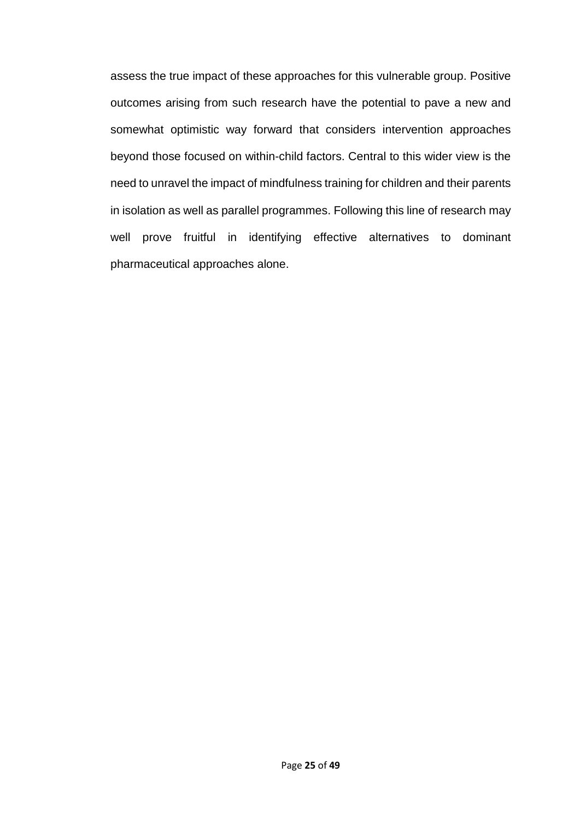assess the true impact of these approaches for this vulnerable group. Positive outcomes arising from such research have the potential to pave a new and somewhat optimistic way forward that considers intervention approaches beyond those focused on within-child factors. Central to this wider view is the need to unravel the impact of mindfulness training for children and their parents in isolation as well as parallel programmes. Following this line of research may well prove fruitful in identifying effective alternatives to dominant pharmaceutical approaches alone.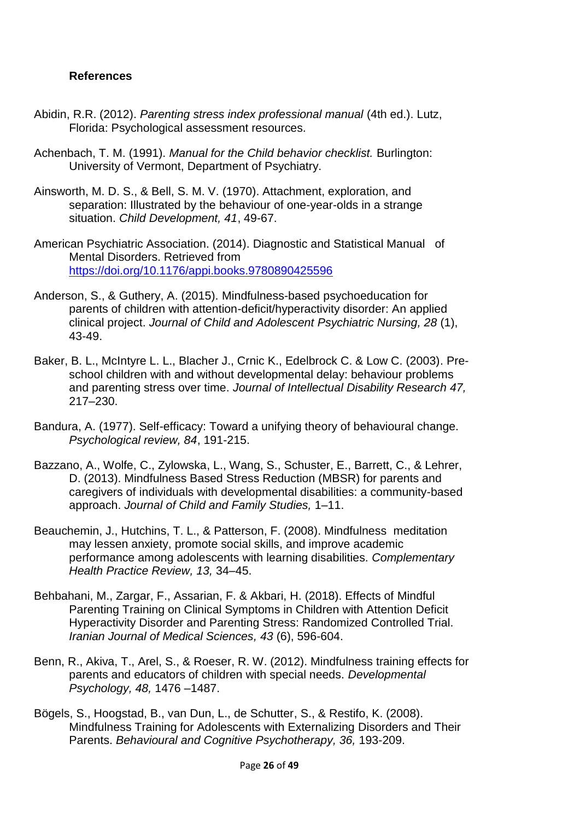## **References**

- Abidin, R.R. (2012). *Parenting stress index professional manual* (4th ed.). Lutz, Florida: Psychological assessment resources.
- Achenbach, T. M. (1991). *Manual for the Child behavior checklist.* Burlington: University of Vermont, Department of Psychiatry.
- Ainsworth, M. D. S., & Bell, S. M. V. (1970). Attachment, exploration, and separation: Illustrated by the behaviour of one-year-olds in a strange situation. *Child Development, 41*, 49-67.
- American Psychiatric Association. (2014). Diagnostic and Statistical Manual of Mental Disorders. Retrieved from <https://doi.org/10.1176/appi.books.9780890425596>
- Anderson, S., & Guthery, A. (2015). Mindfulness-based psychoeducation for parents of children with attention-deficit/hyperactivity disorder: An applied clinical project. *Journal of Child and Adolescent Psychiatric Nursing, 28* (1), 43-49.
- Baker, B. L., McIntyre L. L., Blacher J., Crnic K., Edelbrock C. & Low C. (2003). Preschool children with and without developmental delay: behaviour problems and parenting stress over time. *Journal of Intellectual Disability Research 47,* 217–230.
- Bandura, A. (1977). Self-efficacy: Toward a unifying theory of behavioural change. *Psychological review, 84*, 191-215.
- Bazzano, A., Wolfe, C., Zylowska, L., Wang, S., Schuster, E., Barrett, C., & Lehrer, D. (2013). Mindfulness Based Stress Reduction (MBSR) for parents and caregivers of individuals with developmental disabilities: a community-based approach. *Journal of Child and Family Studies,* 1–11.
- Beauchemin, J., Hutchins, T. L., & Patterson, F. (2008). Mindfulness meditation may lessen anxiety, promote social skills, and improve academic performance among adolescents with learning disabilities. *Complementary Health Practice Review, 13,* 34–45.
- Behbahani, M., Zargar, F., Assarian, F. & Akbari, H. (2018). Effects of Mindful Parenting Training on Clinical Symptoms in Children with Attention Deficit Hyperactivity Disorder and Parenting Stress: Randomized Controlled Trial. *Iranian Journal of Medical Sciences, 43* (6), 596-604.
- Benn, R., Akiva, T., Arel, S., & Roeser, R. W. (2012). Mindfulness training effects for parents and educators of children with special needs. *Developmental Psychology, 48,* 1476 –1487.
- Bögels, S., Hoogstad, B., van Dun, L., de Schutter, S., & Restifo, K. (2008). Mindfulness Training for Adolescents with Externalizing Disorders and Their Parents. *Behavioural and Cognitive Psychotherapy, 36,* 193-209.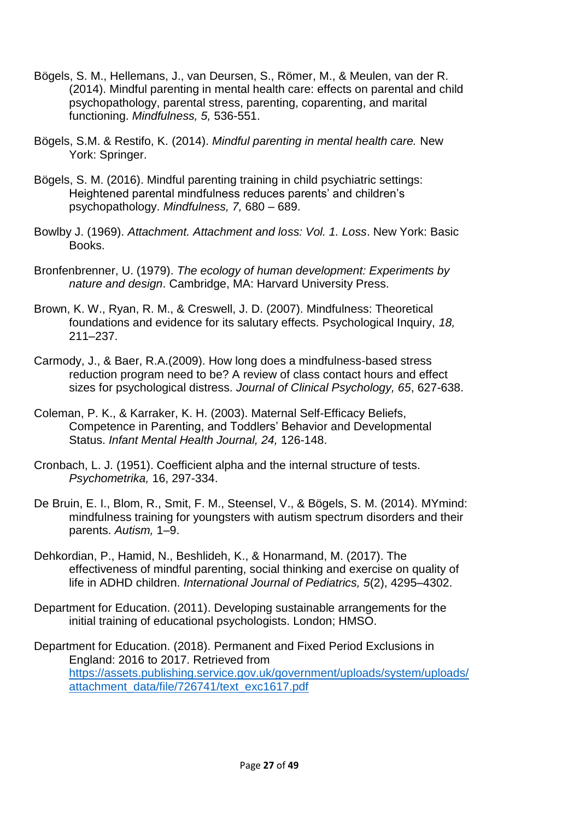- Bögels, S. M., Hellemans, J., van Deursen, S., Römer, M., & Meulen, van der R. (2014). Mindful parenting in mental health care: effects on parental and child psychopathology, parental stress, parenting, coparenting, and marital functioning. *Mindfulness, 5,* 536-551.
- Bögels, S.M. & Restifo, K. (2014). *Mindful parenting in mental health care.* New York: Springer.
- Bögels, S. M. (2016). Mindful parenting training in child psychiatric settings: Heightened parental mindfulness reduces parents' and children's psychopathology. *Mindfulness, 7,* 680 – 689.
- Bowlby J. (1969). *Attachment. Attachment and loss: Vol. 1. Loss*. New York: Basic Books.
- Bronfenbrenner, U. (1979). *The ecology of human development: Experiments by nature and design*. Cambridge, MA: Harvard University Press.
- Brown, K. W., Ryan, R. M., & Creswell, J. D. (2007). Mindfulness: Theoretical foundations and evidence for its salutary effects. Psychological Inquiry, *18,* 211–237.
- Carmody, J., & Baer, R.A.(2009). How long does a mindfulness-based stress reduction program need to be? A review of class contact hours and effect sizes for psychological distress. *Journal of Clinical Psychology, 65*, 627-638.
- Coleman, P. K., & Karraker, K. H. (2003). Maternal Self-Efficacy Beliefs, Competence in Parenting, and Toddlers' Behavior and Developmental Status. *Infant Mental Health Journal, 24,* 126-148.
- Cronbach, L. J. (1951). Coefficient alpha and the internal structure of tests. *Psychometrika,* 16, 297-334.
- De Bruin, E. I., Blom, R., Smit, F. M., Steensel, V., & Bögels, S. M. (2014). MYmind: mindfulness training for youngsters with autism spectrum disorders and their parents. *Autism,* 1–9.
- Dehkordian, P., Hamid, N., Beshlideh, K., & Honarmand, M. (2017). The effectiveness of mindful parenting, social thinking and exercise on quality of life in ADHD children. *International Journal of Pediatrics, 5*(2), 4295–4302.
- Department for Education. (2011). Developing sustainable arrangements for the initial training of educational psychologists. London; HMSO.
- Department for Education. (2018). Permanent and Fixed Period Exclusions in England: 2016 to 2017. Retrieved from [https://assets.publishing.service.gov.uk/government/uploads/system/uploads/](https://assets.publishing.service.gov.uk/government/uploads/system/uploads/attachment_data/file/726741/text_exc1617.pdf) [attachment\\_data/file/726741/text\\_exc1617.pdf](https://assets.publishing.service.gov.uk/government/uploads/system/uploads/attachment_data/file/726741/text_exc1617.pdf)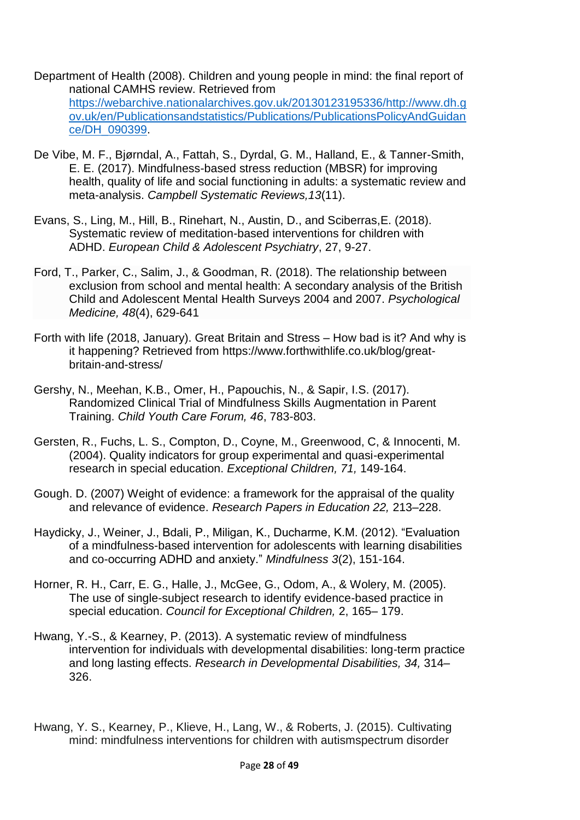- Department of Health (2008). Children and young people in mind: the final report of national CAMHS review. Retrieved from [https://webarchive.nationalarchives.gov.uk/20130123195336/http://www.dh.g](https://webarchive.nationalarchives.gov.uk/20130123195336/http:/www.dh.gov.uk/en/Publicationsandstatistics/Publications/PublicationsPolicyAndGuidance/DH_090399) [ov.uk/en/Publicationsandstatistics/Publications/PublicationsPolicyAndGuidan](https://webarchive.nationalarchives.gov.uk/20130123195336/http:/www.dh.gov.uk/en/Publicationsandstatistics/Publications/PublicationsPolicyAndGuidance/DH_090399) [ce/DH\\_090399.](https://webarchive.nationalarchives.gov.uk/20130123195336/http:/www.dh.gov.uk/en/Publicationsandstatistics/Publications/PublicationsPolicyAndGuidance/DH_090399)
- De Vibe, M. F., Bjørndal, A., Fattah, S., Dyrdal, G. M., Halland, E., & Tanner-Smith, E. E. (2017). Mindfulness-based stress reduction (MBSR) for improving health, quality of life and social functioning in adults: a systematic review and meta-analysis. *Campbell Systematic Reviews,13*(11).
- Evans, S., Ling, M., Hill, B., Rinehart, N., Austin, D., and Sciberras,E. (2018). Systematic review of meditation-based interventions for children with ADHD. *European Child & Adolescent Psychiatry*, 27, 9-27.
- Ford, T., Parker, C., Salim, J., & Goodman, R. (2018). The relationship between exclusion from school and mental health: A secondary analysis of the British Child and Adolescent Mental Health Surveys 2004 and 2007. *Psychological Medicine, 48*(4), 629-641
- Forth with life (2018, January). Great Britain and Stress How bad is it? And why is it happening? Retrieved from https://www.forthwithlife.co.uk/blog/greatbritain-and-stress/
- Gershy, N., Meehan, K.B., Omer, H., Papouchis, N., & Sapir, I.S. (2017). Randomized Clinical Trial of Mindfulness Skills Augmentation in Parent Training. *Child Youth Care Forum, 46*, 783-803.
- Gersten, R., Fuchs, L. S., Compton, D., Coyne, M., Greenwood, C, & Innocenti, M. (2004). Quality indicators for group experimental and quasi-experimental research in special education. *Exceptional Children, 71,* 149-164.
- Gough. D. (2007) Weight of evidence: a framework for the appraisal of the quality and relevance of evidence. *Research Papers in Education 22,* 213–228.
- Haydicky, J., Weiner, J., Bdali, P., Miligan, K., Ducharme, K.M. (2012). "Evaluation of a mindfulness-based intervention for adolescents with learning disabilities and co-occurring ADHD and anxiety." *Mindfulness 3*(2), 151-164.
- Horner, R. H., Carr, E. G., Halle, J., McGee, G., Odom, A., & Wolery, M. (2005). The use of single-subject research to identify evidence-based practice in special education. *Council for Exceptional Children,* 2, 165– 179.
- Hwang, Y.-S., & Kearney, P. (2013). A systematic review of mindfulness intervention for individuals with developmental disabilities: long-term practice and long lasting effects. *Research in Developmental Disabilities, 34,* 314– 326.
- Hwang, Y. S., Kearney, P., Klieve, H., Lang, W., & Roberts, J. (2015). Cultivating mind: mindfulness interventions for children with autismspectrum disorder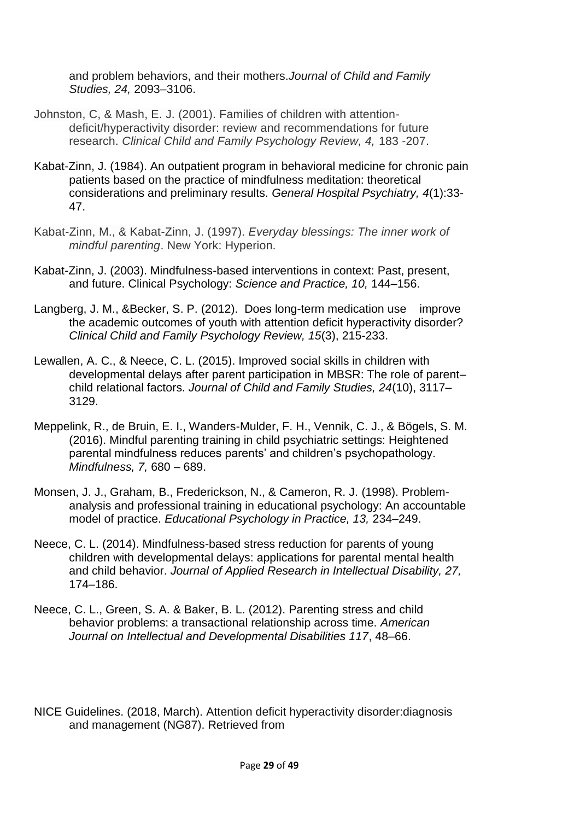and problem behaviors, and their mothers.*Journal of Child and Family Studies, 24,* 2093–3106.

- Johnston, C, & Mash, E. J. (2001). Families of children with attentiondeficit/hyperactivity disorder: review and recommendations for future research. *Clinical Child and Family Psychology Review, 4,* 183 -207.
- Kabat-Zinn, J. (1984). An outpatient program in behavioral medicine for chronic pain patients based on the practice of mindfulness meditation: theoretical considerations and preliminary results. *General Hospital Psychiatry, 4*(1):33- 47.
- Kabat-Zinn, M., & Kabat-Zinn, J. (1997). *Everyday blessings: The inner work of mindful parenting*. New York: Hyperion.
- Kabat-Zinn, J. (2003). Mindfulness-based interventions in context: Past, present, and future. Clinical Psychology: *Science and Practice, 10,* 144–156.
- Langberg, J. M., &Becker, S. P. (2012). Does long-term medication use improve the academic outcomes of youth with attention deficit hyperactivity disorder? *Clinical Child and Family Psychology Review, 15*(3), 215-233.
- Lewallen, A. C., & Neece, C. L. (2015). Improved social skills in children with developmental delays after parent participation in MBSR: The role of parent– child relational factors. *Journal of Child and Family Studies, 24*(10), 3117– 3129.
- Meppelink, R., de Bruin, E. I., Wanders-Mulder, F. H., Vennik, C. J., & Bögels, S. M. (2016). Mindful parenting training in child psychiatric settings: Heightened parental mindfulness reduces parents' and children's psychopathology. *Mindfulness, 7,* 680 – 689.
- Monsen, J. J., Graham, B., Frederickson, N., & Cameron, R. J. (1998). Problemanalysis and professional training in educational psychology: An accountable model of practice. *Educational Psychology in Practice, 13,* 234–249.
- Neece, C. L. (2014). Mindfulness-based stress reduction for parents of young children with developmental delays: applications for parental mental health and child behavior. *Journal of Applied Research in Intellectual Disability, 27,*  174–186.
- Neece, C. L., Green, S. A. & Baker, B. L. (2012). Parenting stress and child behavior problems: a transactional relationship across time. *American Journal on Intellectual and Developmental Disabilities 117*, 48–66.
- NICE Guidelines. (2018, March). Attention deficit hyperactivity disorder:diagnosis and management (NG87). Retrieved from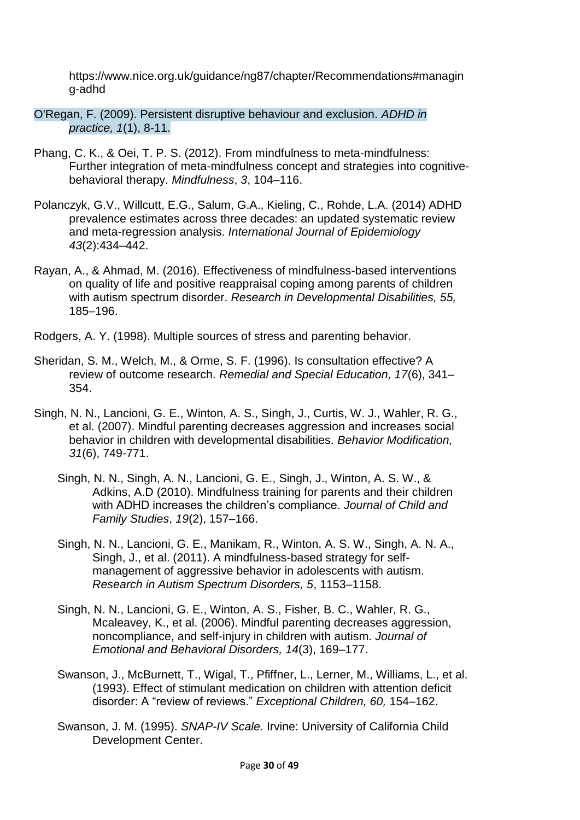https://www.nice.org.uk/guidance/ng87/chapter/Recommendations#managin g-adhd

- O'Regan, F. (2009). Persistent disruptive behaviour and exclusion. *ADHD in practice, 1*(1), 8-11.
- Phang, C. K., & Oei, T. P. S. (2012). From mindfulness to meta-mindfulness: Further integration of meta-mindfulness concept and strategies into cognitivebehavioral therapy. *Mindfulness*, *3*, 104–116.
- Polanczyk, G.V., Willcutt, E.G., Salum, G.A., Kieling, C., Rohde, L.A. (2014) ADHD prevalence estimates across three decades: an updated systematic review and meta-regression analysis. *International Journal of Epidemiology 43*(2):434–442.
- Rayan, A., & Ahmad, M. (2016). Effectiveness of mindfulness-based interventions on quality of life and positive reappraisal coping among parents of children with autism spectrum disorder. *Research in Developmental Disabilities, 55,* 185–196.

Rodgers, A. Y. (1998). Multiple sources of stress and parenting behavior.

- Sheridan, S. M., Welch, M., & Orme, S. F. (1996). Is consultation effective? A review of outcome research. *Remedial and Special Education, 17*(6), 341– 354.
- Singh, N. N., Lancioni, G. E., Winton, A. S., Singh, J., Curtis, W. J., Wahler, R. G., et al. (2007). Mindful parenting decreases aggression and increases social behavior in children with developmental disabilities. *Behavior Modification, 31*(6), 749-771.
	- Singh, N. N., Singh, A. N., Lancioni, G. E., Singh, J., Winton, A. S. W., & Adkins, A.D (2010). Mindfulness training for parents and their children with ADHD increases the children's compliance. *Journal of Child and Family Studies*, *19*(2), 157–166.
	- Singh, N. N., Lancioni, G. E., Manikam, R., Winton, A. S. W., Singh, A. N. A., Singh, J., et al. (2011). A mindfulness-based strategy for selfmanagement of aggressive behavior in adolescents with autism. *Research in Autism Spectrum Disorders, 5*, 1153–1158.
	- Singh, N. N., Lancioni, G. E., Winton, A. S., Fisher, B. C., Wahler, R. G., Mcaleavey, K., et al. (2006). Mindful parenting decreases aggression, noncompliance, and self-injury in children with autism. *Journal of Emotional and Behavioral Disorders, 14*(3), 169–177.
	- Swanson, J., McBurnett, T., Wigal, T., Pfiffner, L., Lerner, M., Williams, L., et al. (1993). Effect of stimulant medication on children with attention deficit disorder: A "review of reviews." *Exceptional Children, 60,* 154–162.
	- Swanson, J. M. (1995). *SNAP-IV Scale.* Irvine: University of California Child Development Center.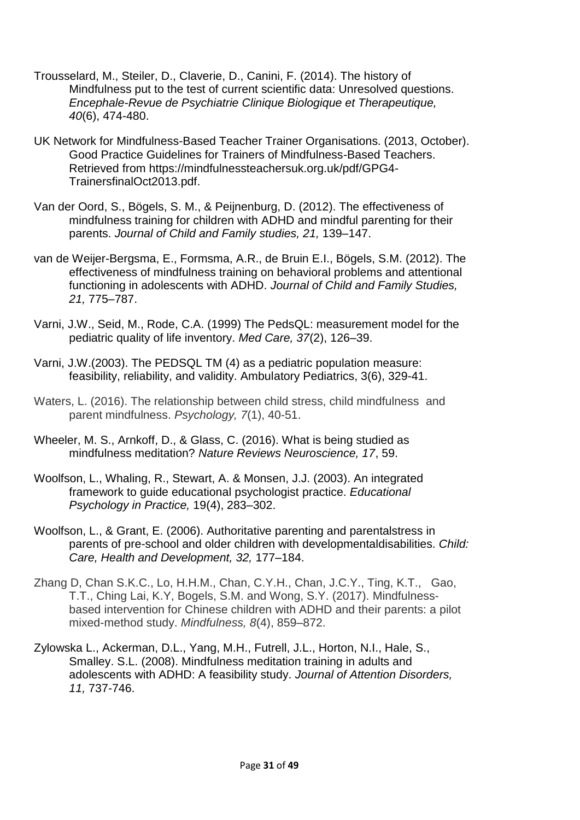- Trousselard, M., Steiler, D., Claverie, D., Canini, F. (2014). The history of Mindfulness put to the test of current scientific data: Unresolved questions. *Encephale-Revue de Psychiatrie Clinique Biologique et Therapeutique, 40*(6), 474-480.
- UK Network for Mindfulness-Based Teacher Trainer Organisations. (2013, October). Good Practice Guidelines for Trainers of Mindfulness-Based Teachers. Retrieved from https://mindfulnessteachersuk.org.uk/pdf/GPG4- TrainersfinalOct2013.pdf.
- Van der Oord, S., Bögels, S. M., & Peijnenburg, D. (2012). The effectiveness of mindfulness training for children with ADHD and mindful parenting for their parents. *Journal of Child and Family studies, 21,* 139–147.
- van de Weijer-Bergsma, E., Formsma, A.R., de Bruin E.I., Bögels, S.M. (2012). The effectiveness of mindfulness training on behavioral problems and attentional functioning in adolescents with ADHD. *Journal of Child and Family Studies, 21,* 775–787.
- Varni, J.W., Seid, M., Rode, C.A. (1999) The PedsQL: measurement model for the pediatric quality of life inventory. *Med Care, 37*(2), 126–39.
- Varni, J.W.(2003). The PEDSQL TM (4) as a pediatric population measure: feasibility, reliability, and validity. Ambulatory Pediatrics, 3(6), 329-41.
- Waters, L. (2016). The relationship between child stress, child mindfulness and parent mindfulness. *Psychology, 7*(1), 40-51.
- Wheeler, M. S., Arnkoff, D., & Glass, C. (2016). What is being studied as mindfulness meditation? *Nature Reviews Neuroscience, 17*, 59.
- Woolfson, L., Whaling, R., Stewart, A. & Monsen, J.J. (2003). An integrated framework to guide educational psychologist practice. *Educational Psychology in Practice,* 19(4), 283–302.
- Woolfson, L., & Grant, E. (2006). Authoritative parenting and parentalstress in parents of pre-school and older children with developmentaldisabilities. *Child: Care, Health and Development, 32,* 177–184.
- Zhang D, Chan S.K.C., Lo, H.H.M., Chan, C.Y.H., Chan, J.C.Y., Ting, K.T., Gao, T.T., Ching Lai, K.Y, Bogels, S.M. and Wong, S.Y. (2017). Mindfulnessbased intervention for Chinese children with ADHD and their parents: a pilot mixed-method study. *Mindfulness, 8*(4), 859–872.
- Zylowska L., Ackerman, D.L., Yang, M.H., Futrell, J.L., Horton, N.I., Hale, S., Smalley. S.L. (2008). Mindfulness meditation training in adults and adolescents with ADHD: A feasibility study. *Journal of Attention Disorders, 11,* 737-746.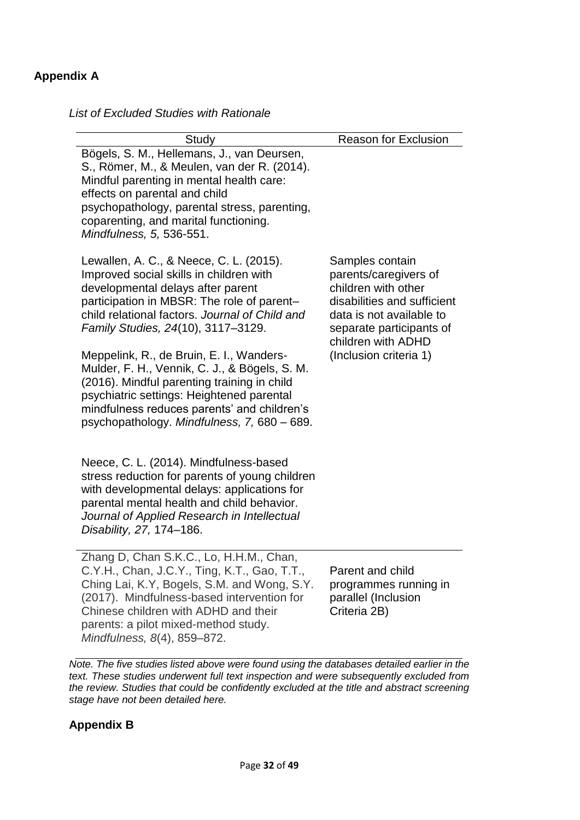# **Appendix A**

*List of Excluded Studies with Rationale*

| Study                                                                                                                                                                                                                                                                                               | <b>Reason for Exclusion</b>                                                                                                                                                  |
|-----------------------------------------------------------------------------------------------------------------------------------------------------------------------------------------------------------------------------------------------------------------------------------------------------|------------------------------------------------------------------------------------------------------------------------------------------------------------------------------|
| Bögels, S. M., Hellemans, J., van Deursen,<br>S., Römer, M., & Meulen, van der R. (2014).<br>Mindful parenting in mental health care:<br>effects on parental and child<br>psychopathology, parental stress, parenting,<br>coparenting, and marital functioning.<br>Mindfulness, 5, 536-551.         |                                                                                                                                                                              |
| Lewallen, A. C., & Neece, C. L. (2015).<br>Improved social skills in children with<br>developmental delays after parent<br>participation in MBSR: The role of parent-<br>child relational factors. Journal of Child and<br>Family Studies, 24(10), 3117-3129.                                       | Samples contain<br>parents/caregivers of<br>children with other<br>disabilities and sufficient<br>data is not available to<br>separate participants of<br>children with ADHD |
| Meppelink, R., de Bruin, E. I., Wanders-<br>Mulder, F. H., Vennik, C. J., & Bögels, S. M.<br>(2016). Mindful parenting training in child<br>psychiatric settings: Heightened parental<br>mindfulness reduces parents' and children's<br>psychopathology. Mindfulness, 7, 680 - 689.                 | (Inclusion criteria 1)                                                                                                                                                       |
| Neece, C. L. (2014). Mindfulness-based<br>stress reduction for parents of young children<br>with developmental delays: applications for<br>parental mental health and child behavior.<br>Journal of Applied Research in Intellectual<br>Disability, 27, 174-186.                                    |                                                                                                                                                                              |
| Zhang D, Chan S.K.C., Lo, H.H.M., Chan,<br>C.Y.H., Chan, J.C.Y., Ting, K.T., Gao, T.T.,<br>Ching Lai, K.Y, Bogels, S.M. and Wong, S.Y.<br>(2017). Mindfulness-based intervention for<br>Chinese children with ADHD and their<br>parents: a pilot mixed-method study.<br>Mindfulness, 8(4), 859-872. | Parent and child<br>programmes running in<br>parallel (Inclusion<br>Criteria 2B)                                                                                             |

*Note. The five studies listed above were found using the databases detailed earlier in the text. These studies underwent full text inspection and were subsequently excluded from the review. Studies that could be confidently excluded at the title and abstract screening stage have not been detailed here.* 

# **Appendix B**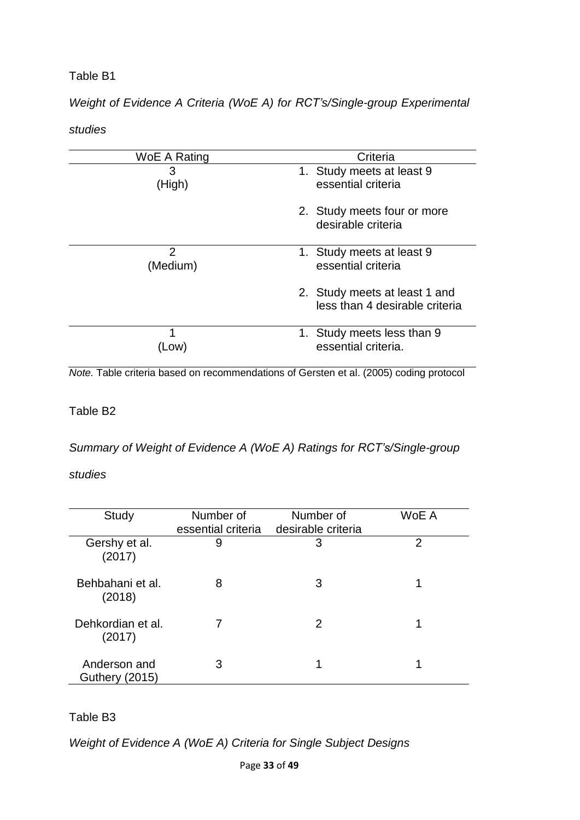# *Weight of Evidence A Criteria (WoE A) for RCT's/Single-group Experimental*

### *studies*

| WoE A Rating  | Criteria                                                        |
|---------------|-----------------------------------------------------------------|
| 3<br>(High)   | 1. Study meets at least 9<br>essential criteria                 |
|               | 2. Study meets four or more                                     |
|               | desirable criteria                                              |
| 2<br>(Medium) | 1. Study meets at least 9<br>essential criteria                 |
|               | 2. Study meets at least 1 and<br>less than 4 desirable criteria |
| 1             | 1. Study meets less than 9                                      |
| LOW)          | essential criteria.                                             |

*Note.* Table criteria based on recommendations of Gersten et al. (2005) coding protocol

# Table B2

*Summary of Weight of Evidence A (WoE A) Ratings for RCT's/Single-group* 

# *studies*

| <b>Study</b>                          | Number of<br>essential criteria | Number of<br>desirable criteria | WoE A |
|---------------------------------------|---------------------------------|---------------------------------|-------|
| Gershy et al.<br>(2017)               | 9                               | 3                               | 2     |
| Behbahani et al.<br>(2018)            | 8                               | 3                               |       |
| Dehkordian et al.<br>(2017)           |                                 | 2                               |       |
| Anderson and<br><b>Guthery (2015)</b> | 3                               | 1                               |       |

# Table B3

*Weight of Evidence A (WoE A) Criteria for Single Subject Designs*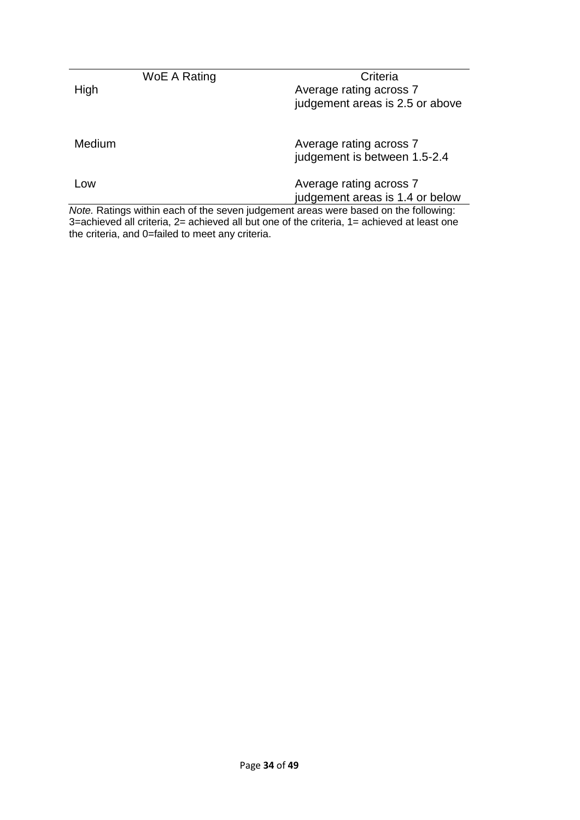|        | WoE A Rating | Criteria                                                                                                             |
|--------|--------------|----------------------------------------------------------------------------------------------------------------------|
| High   |              | Average rating across 7                                                                                              |
|        |              | judgement areas is 2.5 or above                                                                                      |
|        |              |                                                                                                                      |
| Medium |              | Average rating across 7                                                                                              |
|        |              | judgement is between 1.5-2.4                                                                                         |
| Low    |              | Average rating across 7                                                                                              |
|        |              | judgement areas is 1.4 or below                                                                                      |
|        |              | Note. Ratings within each of the seven judgement areas were based on the following:                                  |
|        |              | $\mathsf{A}$ and the function $\mathsf{A}$ and the contribution of the state of the different states of $\mathsf{A}$ |

3=achieved all criteria, 2= achieved all but one of the criteria, 1= achieved at least one the criteria, and 0=failed to meet any criteria.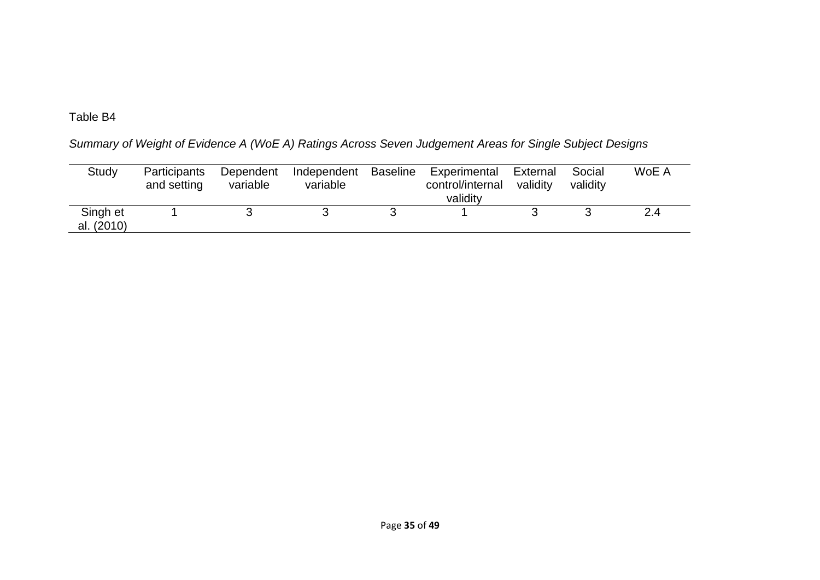*Summary of Weight of Evidence A (WoE A) Ratings Across Seven Judgement Areas for Single Subject Designs*

| Study                  | <b>Participants</b><br>and setting | Dependent<br>variable | Independent<br>variable | <b>Baseline</b> | Experimental<br>control/internal<br>validity | External<br>validity | Social<br>validity | WoE A |
|------------------------|------------------------------------|-----------------------|-------------------------|-----------------|----------------------------------------------|----------------------|--------------------|-------|
| Singh et<br>al. (2010) |                                    |                       |                         |                 |                                              |                      |                    | 2.4   |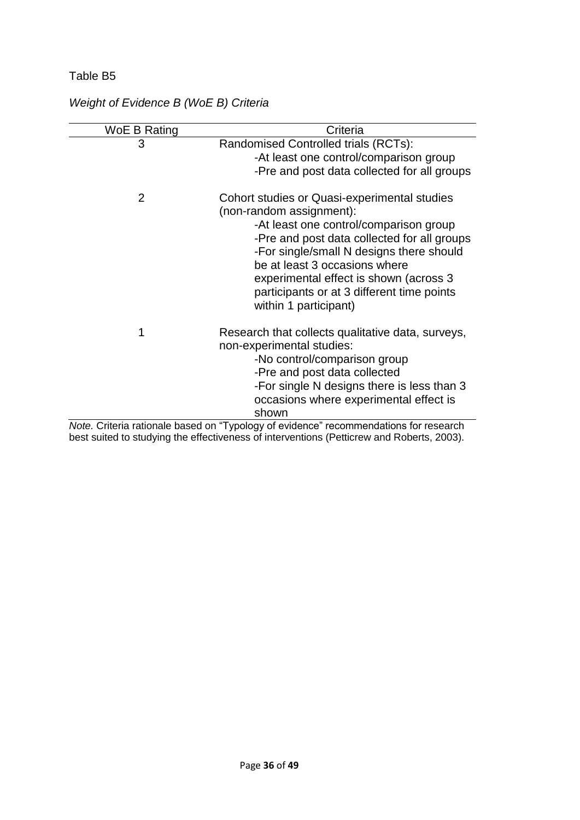| WoE B Rating | Criteria                                                                                                                                                                                                                                                                                                                                                        |
|--------------|-----------------------------------------------------------------------------------------------------------------------------------------------------------------------------------------------------------------------------------------------------------------------------------------------------------------------------------------------------------------|
| 3            | Randomised Controlled trials (RCTs):<br>-At least one control/comparison group<br>-Pre and post data collected for all groups                                                                                                                                                                                                                                   |
| 2            | Cohort studies or Quasi-experimental studies<br>(non-random assignment):<br>-At least one control/comparison group<br>-Pre and post data collected for all groups<br>-For single/small N designs there should<br>be at least 3 occasions where<br>experimental effect is shown (across 3<br>participants or at 3 different time points<br>within 1 participant) |
| 1            | Research that collects qualitative data, surveys,<br>non-experimental studies:<br>-No control/comparison group<br>-Pre and post data collected<br>-For single N designs there is less than 3<br>occasions where experimental effect is<br>shown                                                                                                                 |
|              | Note. Criteria rationale based on "Typology of evidence" recommendations for research                                                                                                                                                                                                                                                                           |

# *Weight of Evidence B (WoE B) Criteria*

best suited to studying the effectiveness of interventions (Petticrew and Roberts, 2003).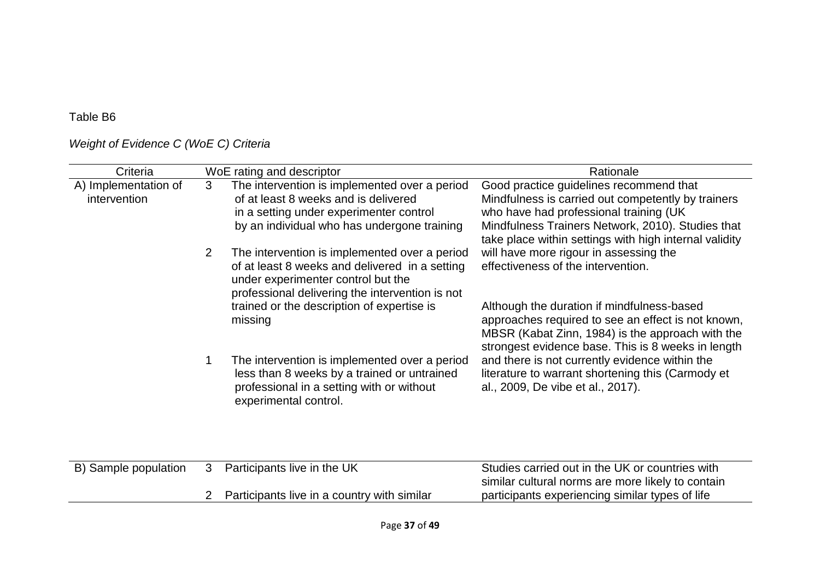# *Weight of Evidence C (WoE C) Criteria*

| Criteria                             |                | WoE rating and descriptor                                                                                                                                                                | Rationale                                                                                                                                                                                                                                               |
|--------------------------------------|----------------|------------------------------------------------------------------------------------------------------------------------------------------------------------------------------------------|---------------------------------------------------------------------------------------------------------------------------------------------------------------------------------------------------------------------------------------------------------|
| A) Implementation of<br>intervention | 3              | The intervention is implemented over a period<br>of at least 8 weeks and is delivered<br>in a setting under experimenter control<br>by an individual who has undergone training          | Good practice guidelines recommend that<br>Mindfulness is carried out competently by trainers<br>who have had professional training (UK)<br>Mindfulness Trainers Network, 2010). Studies that<br>take place within settings with high internal validity |
|                                      | $\overline{2}$ | The intervention is implemented over a period<br>of at least 8 weeks and delivered in a setting<br>under experimenter control but the<br>professional delivering the intervention is not | will have more rigour in assessing the<br>effectiveness of the intervention.                                                                                                                                                                            |
|                                      |                | trained or the description of expertise is<br>missing                                                                                                                                    | Although the duration if mindfulness-based<br>approaches required to see an effect is not known,<br>MBSR (Kabat Zinn, 1984) is the approach with the<br>strongest evidence base. This is 8 weeks in length                                              |
|                                      | 1              | The intervention is implemented over a period<br>less than 8 weeks by a trained or untrained<br>professional in a setting with or without<br>experimental control.                       | and there is not currently evidence within the<br>literature to warrant shortening this (Carmody et<br>al., 2009, De vibe et al., 2017).                                                                                                                |
|                                      |                |                                                                                                                                                                                          |                                                                                                                                                                                                                                                         |
| B) Sample population                 | 3              | Participants live in the UK                                                                                                                                                              | Studies carried out in the UK or countries with<br>similar cultural norms are more likely to contain                                                                                                                                                    |
|                                      |                | Participants live in a country with similar                                                                                                                                              | participants experiencing similar types of life                                                                                                                                                                                                         |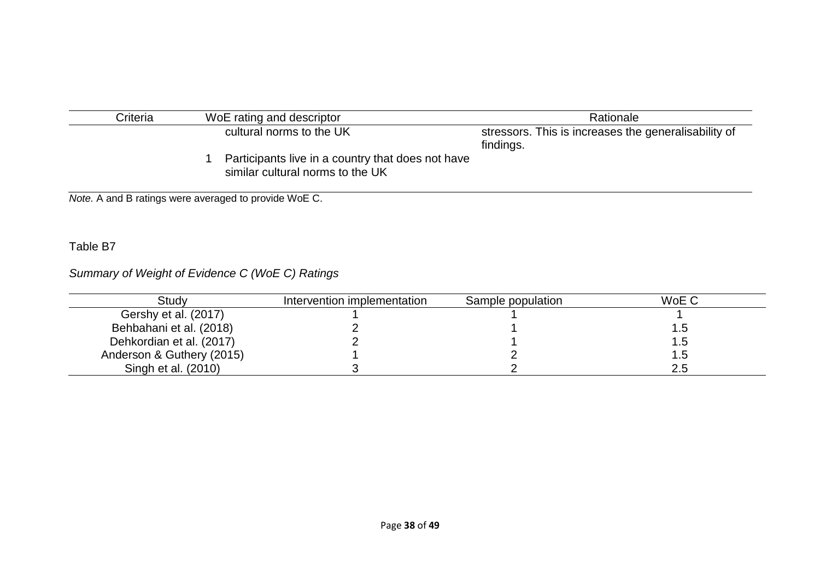| Criteria | WoE rating and descriptor                                                             | Rationale                                                         |  |  |
|----------|---------------------------------------------------------------------------------------|-------------------------------------------------------------------|--|--|
|          | cultural norms to the UK                                                              | stressors. This is increases the generalisability of<br>findings. |  |  |
|          | Participants live in a country that does not have<br>similar cultural norms to the UK |                                                                   |  |  |

*Note.* A and B ratings were averaged to provide WoE C.

# Table B7

# *Summary of Weight of Evidence C (WoE C) Ratings*

| Study                     | Intervention implementation | Sample population | WoE C |
|---------------------------|-----------------------------|-------------------|-------|
| Gershy et al. (2017)      |                             |                   |       |
| Behbahani et al. (2018)   |                             |                   | . .ხ  |
| Dehkordian et al. (2017)  |                             |                   | ڻ. ا  |
| Anderson & Guthery (2015) |                             |                   | .5    |
| Singh et al. (2010)       |                             |                   | 2.5   |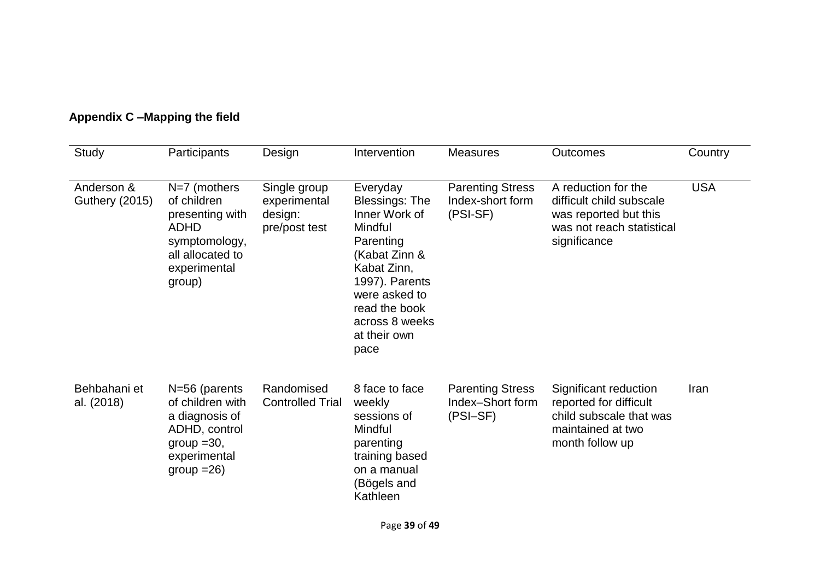| Study                               | Participants                                                                                                                   | Design                                                   | Intervention                                                                                                                                                                                             | <b>Measures</b>                                         | <b>Outcomes</b>                                                                                                       | Country    |
|-------------------------------------|--------------------------------------------------------------------------------------------------------------------------------|----------------------------------------------------------|----------------------------------------------------------------------------------------------------------------------------------------------------------------------------------------------------------|---------------------------------------------------------|-----------------------------------------------------------------------------------------------------------------------|------------|
| Anderson &<br><b>Guthery (2015)</b> | $N=7$ (mothers<br>of children<br>presenting with<br><b>ADHD</b><br>symptomology,<br>all allocated to<br>experimental<br>group) | Single group<br>experimental<br>design:<br>pre/post test | Everyday<br><b>Blessings: The</b><br>Inner Work of<br>Mindful<br>Parenting<br>(Kabat Zinn &<br>Kabat Zinn,<br>1997). Parents<br>were asked to<br>read the book<br>across 8 weeks<br>at their own<br>pace | <b>Parenting Stress</b><br>Index-short form<br>(PSI-SF) | A reduction for the<br>difficult child subscale<br>was reported but this<br>was not reach statistical<br>significance | <b>USA</b> |
| Behbahani et<br>al. (2018)          | $N=56$ (parents<br>of children with<br>a diagnosis of<br>ADHD, control<br>$group = 30,$<br>experimental<br>$group = 26$        | Randomised<br><b>Controlled Trial</b>                    | 8 face to face<br>weekly<br>sessions of<br>Mindful<br>parenting<br>training based<br>on a manual<br>(Bögels and<br>Kathleen                                                                              | <b>Parenting Stress</b><br>Index-Short form<br>(PSI-SF) | Significant reduction<br>reported for difficult<br>child subscale that was<br>maintained at two<br>month follow up    | Iran       |

# **Appendix C –Mapping the field**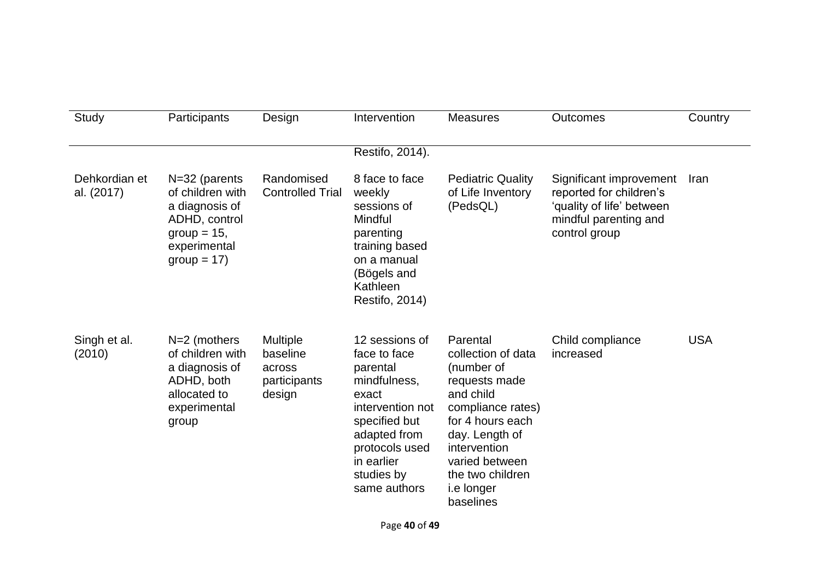| Study                       | Participants                                                                                                              | Design                                                          | Intervention                                                                                                                                                                           | <b>Measures</b>                                                                                                                                                                                                               | <b>Outcomes</b>                                                                                                           | Country    |
|-----------------------------|---------------------------------------------------------------------------------------------------------------------------|-----------------------------------------------------------------|----------------------------------------------------------------------------------------------------------------------------------------------------------------------------------------|-------------------------------------------------------------------------------------------------------------------------------------------------------------------------------------------------------------------------------|---------------------------------------------------------------------------------------------------------------------------|------------|
|                             |                                                                                                                           |                                                                 | Restifo, 2014).                                                                                                                                                                        |                                                                                                                                                                                                                               |                                                                                                                           |            |
| Dehkordian et<br>al. (2017) | $N=32$ (parents<br>of children with<br>a diagnosis of<br>ADHD, control<br>$group = 15$ ,<br>experimental<br>$group = 17)$ | Randomised<br><b>Controlled Trial</b>                           | 8 face to face<br>weekly<br>sessions of<br>Mindful<br>parenting<br>training based<br>on a manual<br>(Bögels and<br>Kathleen<br>Restifo, 2014)                                          | <b>Pediatric Quality</b><br>of Life Inventory<br>(PedsQL)                                                                                                                                                                     | Significant improvement<br>reported for children's<br>'quality of life' between<br>mindful parenting and<br>control group | Iran       |
| Singh et al.<br>(2010)      | $N=2$ (mothers<br>of children with<br>a diagnosis of<br>ADHD, both<br>allocated to<br>experimental<br>group               | <b>Multiple</b><br>baseline<br>across<br>participants<br>design | 12 sessions of<br>face to face<br>parental<br>mindfulness,<br>exact<br>intervention not<br>specified but<br>adapted from<br>protocols used<br>in earlier<br>studies by<br>same authors | Parental<br>collection of data<br>(number of<br>requests made<br>and child<br>compliance rates)<br>for 4 hours each<br>day. Length of<br>intervention<br>varied between<br>the two children<br><i>i.e</i> longer<br>baselines | Child compliance<br>increased                                                                                             | <b>USA</b> |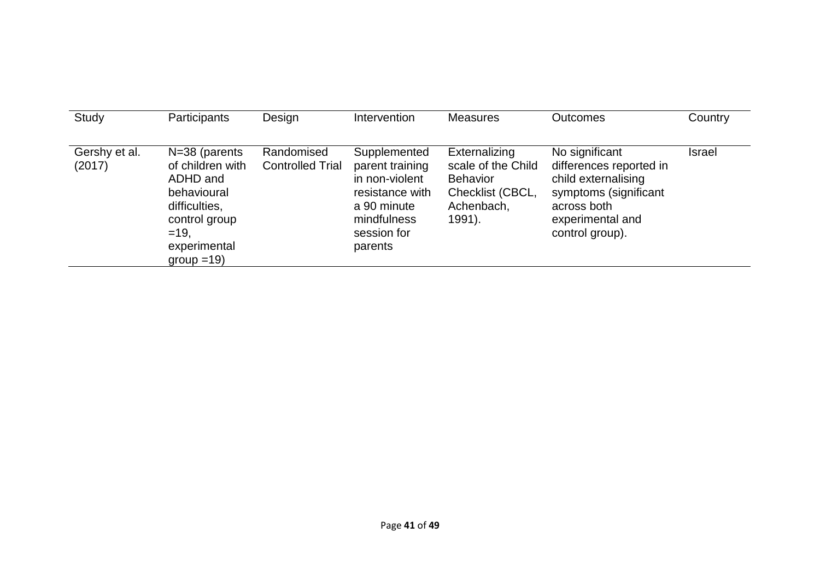| Study                   | Participants                                                                                                                               | Design                                | Intervention                                                                                                                 | <b>Measures</b>                                                                                    | <b>Outcomes</b>                                                                                                                                 | Country       |
|-------------------------|--------------------------------------------------------------------------------------------------------------------------------------------|---------------------------------------|------------------------------------------------------------------------------------------------------------------------------|----------------------------------------------------------------------------------------------------|-------------------------------------------------------------------------------------------------------------------------------------------------|---------------|
| Gershy et al.<br>(2017) | $N=38$ (parents<br>of children with<br>ADHD and<br>behavioural<br>difficulties,<br>control group<br>$=19.$<br>experimental<br>$group = 19$ | Randomised<br><b>Controlled Trial</b> | Supplemented<br>parent training<br>in non-violent<br>resistance with<br>a 90 minute<br>mindfulness<br>session for<br>parents | Externalizing<br>scale of the Child<br><b>Behavior</b><br>Checklist (CBCL,<br>Achenbach,<br>1991). | No significant<br>differences reported in<br>child externalising<br>symptoms (significant<br>across both<br>experimental and<br>control group). | <b>Israel</b> |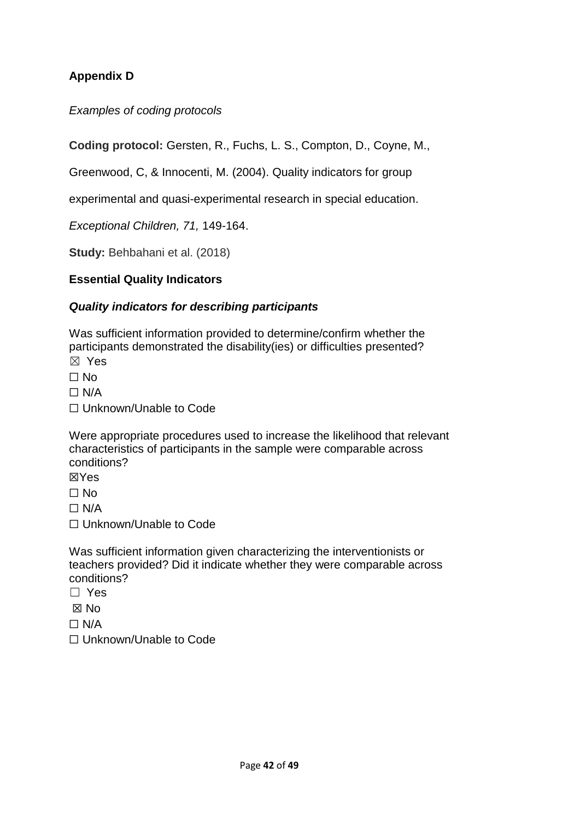# **Appendix D**

*Examples of coding protocols* 

**Coding protocol:** Gersten, R., Fuchs, L. S., Compton, D., Coyne, M.,

Greenwood, C, & Innocenti, M. (2004). Quality indicators for group

experimental and quasi-experimental research in special education.

*Exceptional Children, 71,* 149-164.

**Study:** Behbahani et al. (2018)

### **Essential Quality Indicators**

### *Quality indicators for describing participants*

Was sufficient information provided to determine/confirm whether the participants demonstrated the disability(ies) or difficulties presented? ☒ Yes

 $\Box$  No

 $\Box$  N/A

☐ Unknown/Unable to Code

Were appropriate procedures used to increase the likelihood that relevant characteristics of participants in the sample were comparable across conditions?

☒Yes

 $\Box$  No

 $\Box$  N/A

☐ Unknown/Unable to Code

Was sufficient information given characterizing the interventionists or teachers provided? Did it indicate whether they were comparable across conditions?

☐ Yes

☒ No

 $\Box$  N/A

☐ Unknown/Unable to Code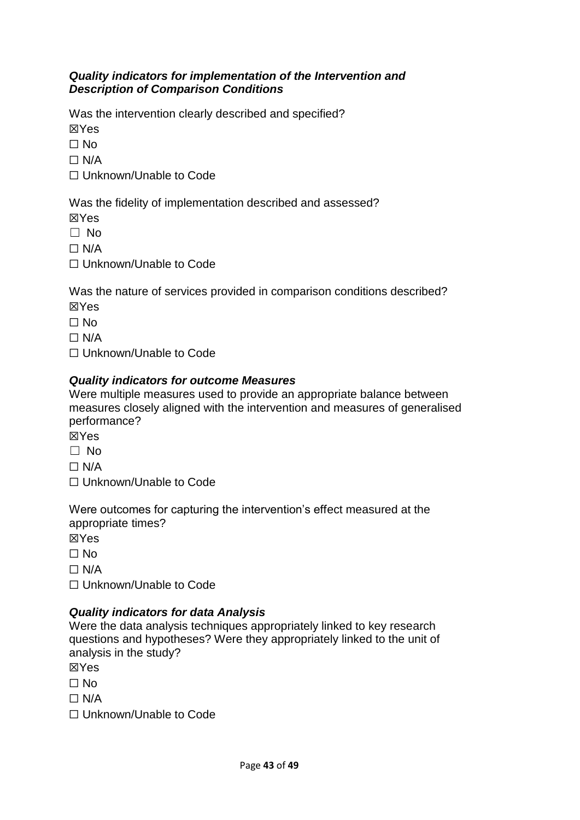### *Quality indicators for implementation of the Intervention and Description of Comparison Conditions*

Was the intervention clearly described and specified?

☒Yes

 $\Box$  No

 $\Box$  N/A

☐ Unknown/Unable to Code

Was the fidelity of implementation described and assessed?

☒Yes

☐ No

 $\Box$  N/A

☐ Unknown/Unable to Code

Was the nature of services provided in comparison conditions described? ☒Yes

 $\Box$  No

 $\Box$  N/A

☐ Unknown/Unable to Code

# *Quality indicators for outcome Measures*

Were multiple measures used to provide an appropriate balance between measures closely aligned with the intervention and measures of generalised performance?

☒Yes

☐ No

 $\Box$  N/A

☐ Unknown/Unable to Code

Were outcomes for capturing the intervention's effect measured at the appropriate times?

☒Yes

 $\Box$  No

 $\Box$  N/A

☐ Unknown/Unable to Code

# *Quality indicators for data Analysis*

Were the data analysis techniques appropriately linked to key research questions and hypotheses? Were they appropriately linked to the unit of analysis in the study?

☒Yes

☐ No

 $\Box$  N/A

☐ Unknown/Unable to Code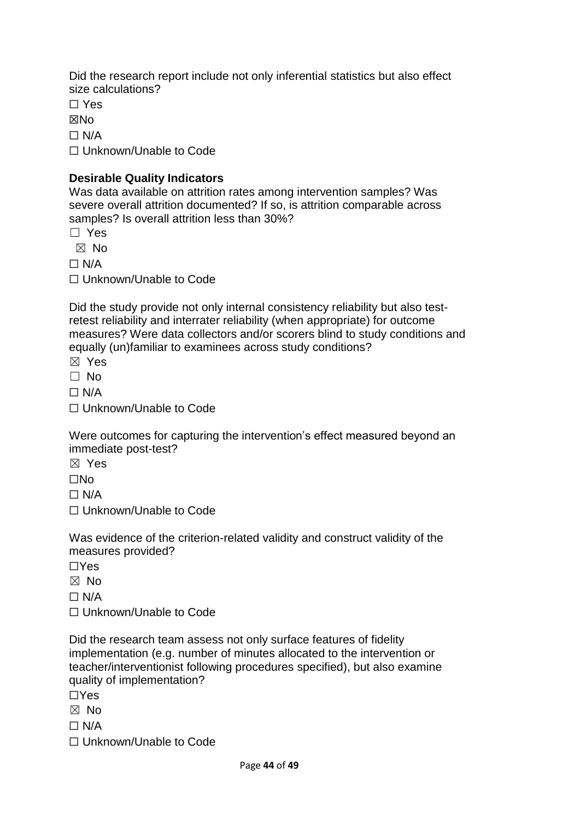Did the research report include not only inferential statistics but also effect size calculations?

☐ Yes

**XNo** 

 $\Box$  N/A

☐ Unknown/Unable to Code

## **Desirable Quality Indicators**

Was data available on attrition rates among intervention samples? Was severe overall attrition documented? If so, is attrition comparable across samples? Is overall attrition less than 30%?

☐ Yes

☒ No

 $\Box$  N/A

☐ Unknown/Unable to Code

Did the study provide not only internal consistency reliability but also testretest reliability and interrater reliability (when appropriate) for outcome measures? Were data collectors and/or scorers blind to study conditions and equally (un)familiar to examinees across study conditions?

☒ Yes

☐ No

 $\Box$  N/A

☐ Unknown/Unable to Code

Were outcomes for capturing the intervention's effect measured beyond an immediate post-test?

☒ Yes

☐No

 $\Box$  N/A

☐ Unknown/Unable to Code

Was evidence of the criterion-related validity and construct validity of the measures provided?

☐Yes

☒ No

 $\Box$  N/A

☐ Unknown/Unable to Code

Did the research team assess not only surface features of fidelity implementation (e.g. number of minutes allocated to the intervention or teacher/interventionist following procedures specified), but also examine quality of implementation?

☐Yes

☒ No

 $\Box$  N/A

☐ Unknown/Unable to Code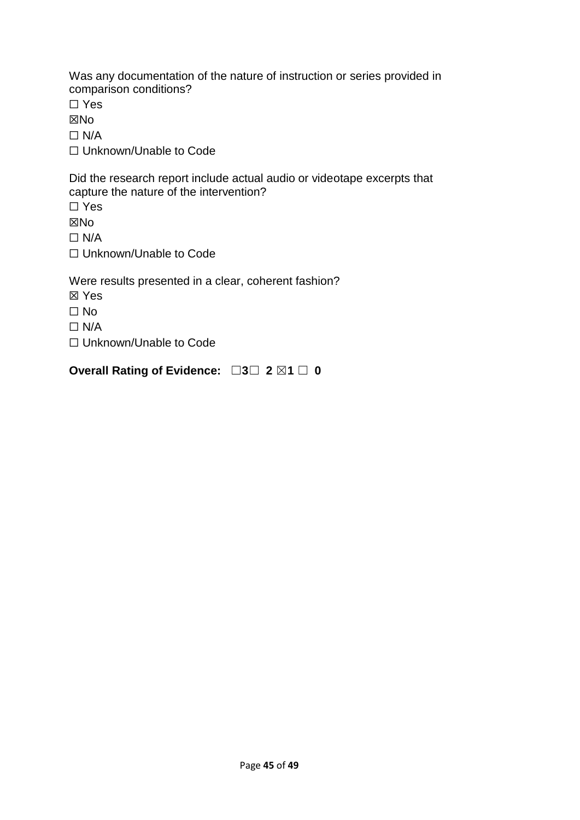Was any documentation of the nature of instruction or series provided in comparison conditions?

☐ Yes

☒No

 $\Box$  N/A

☐ Unknown/Unable to Code

Did the research report include actual audio or videotape excerpts that capture the nature of the intervention?

☐ Yes

☒No

 $\Box$  N/A

☐ Unknown/Unable to Code

Were results presented in a clear, coherent fashion?

- ☒ Yes
- ☐ No
- $\Box$  N/A
- ☐ Unknown/Unable to Code

**Overall Rating of Evidence:** ☐**3**☐ **2** ☒**1** ☐ **0**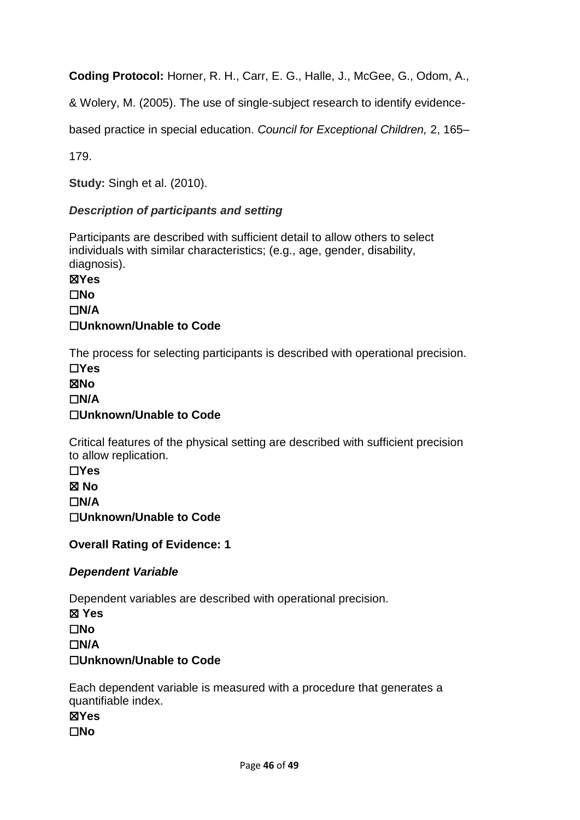**Coding Protocol:** Horner, R. H., Carr, E. G., Halle, J., McGee, G., Odom, A.,

& Wolery, M. (2005). The use of single-subject research to identify evidence-

based practice in special education. *Council for Exceptional Children,* 2, 165–

179.

**Study:** Singh et al. (2010).

### *Description of participants and setting*

Participants are described with sufficient detail to allow others to select individuals with similar characteristics; (e.g., age, gender, disability, diagnosis).

☒**Yes** ☐**No** ☐**N/A** ☐**Unknown/Unable to Code**

The process for selecting participants is described with operational precision. ☐**Yes**

☒**No** ☐**N/A** ☐**Unknown/Unable to Code**

Critical features of the physical setting are described with sufficient precision to allow replication.

☐**Yes** ☒ **No** ☐**N/A** ☐**Unknown/Unable to Code**

**Overall Rating of Evidence: 1**

### *Dependent Variable*

Dependent variables are described with operational precision. ☒ **Yes** ☐**No** ☐**N/A** ☐**Unknown/Unable to Code**

Each dependent variable is measured with a procedure that generates a quantifiable index.

☒**Yes**

☐**No**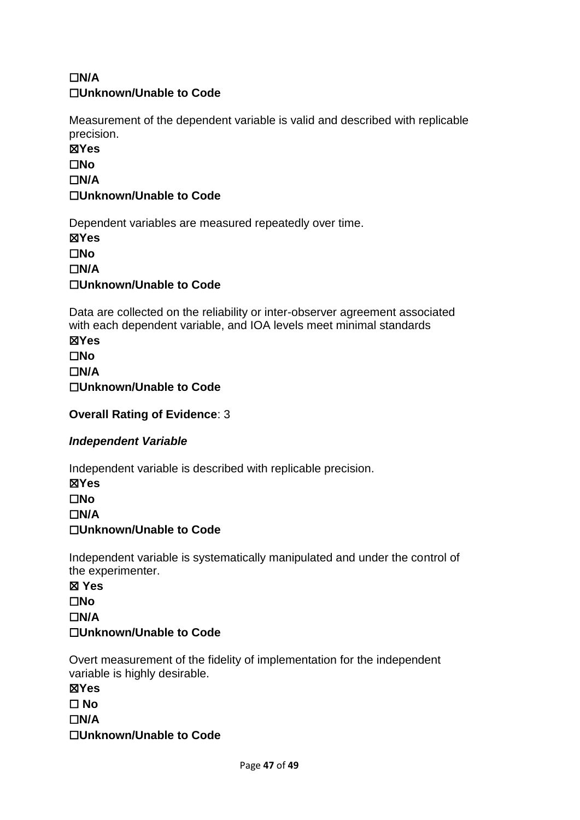# ☐**N/A** ☐**Unknown/Unable to Code**

Measurement of the dependent variable is valid and described with replicable precision.

☒**Yes** ☐**No** ☐**N/A** ☐**Unknown/Unable to Code**

Dependent variables are measured repeatedly over time.

☒**Yes** ☐**No** ☐**N/A** ☐**Unknown/Unable to Code**

Data are collected on the reliability or inter-observer agreement associated with each dependent variable, and IOA levels meet minimal standards

☒**Yes** ☐**No** ☐**N/A** ☐**Unknown/Unable to Code**

**Overall Rating of Evidence**: 3

# *Independent Variable*

Independent variable is described with replicable precision.

☒**Yes** ☐**No** ☐**N/A** ☐**Unknown/Unable to Code**

Independent variable is systematically manipulated and under the control of the experimenter.

☒ **Yes** ☐**No** ☐**N/A** ☐**Unknown/Unable to Code**

Overt measurement of the fidelity of implementation for the independent variable is highly desirable.

☒**Yes** ☐ **No** ☐**N/A** ☐**Unknown/Unable to Code**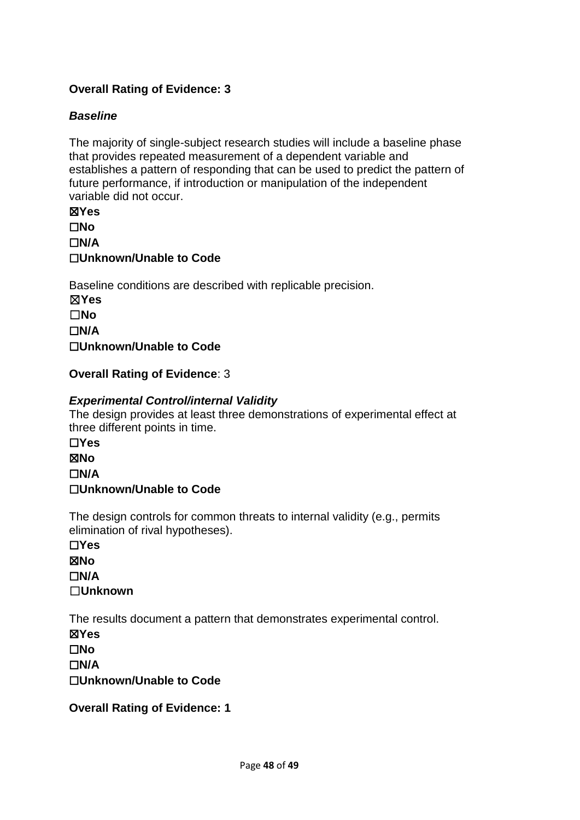# **Overall Rating of Evidence: 3**

### *Baseline*

The majority of single-subject research studies will include a baseline phase that provides repeated measurement of a dependent variable and establishes a pattern of responding that can be used to predict the pattern of future performance, if introduction or manipulation of the independent variable did not occur.

☒**Yes** ☐**No** ☐**N/A** ☐**Unknown/Unable to Code**

Baseline conditions are described with replicable precision. ☒**Yes** ☐**No** ☐**N/A** ☐**Unknown/Unable to Code**

**Overall Rating of Evidence**: 3

### *Experimental Control/internal Validity*

The design provides at least three demonstrations of experimental effect at three different points in time.

☐**Yes** ☒**No** ☐**N/A**

### ☐**Unknown/Unable to Code**

The design controls for common threats to internal validity (e.g., permits elimination of rival hypotheses).

☐**Yes** ☒**No** ☐**N/A** ☐**Unknown**

The results document a pattern that demonstrates experimental control.

☒**Yes**

☐**No**

☐**N/A**

☐**Unknown/Unable to Code**

**Overall Rating of Evidence: 1**